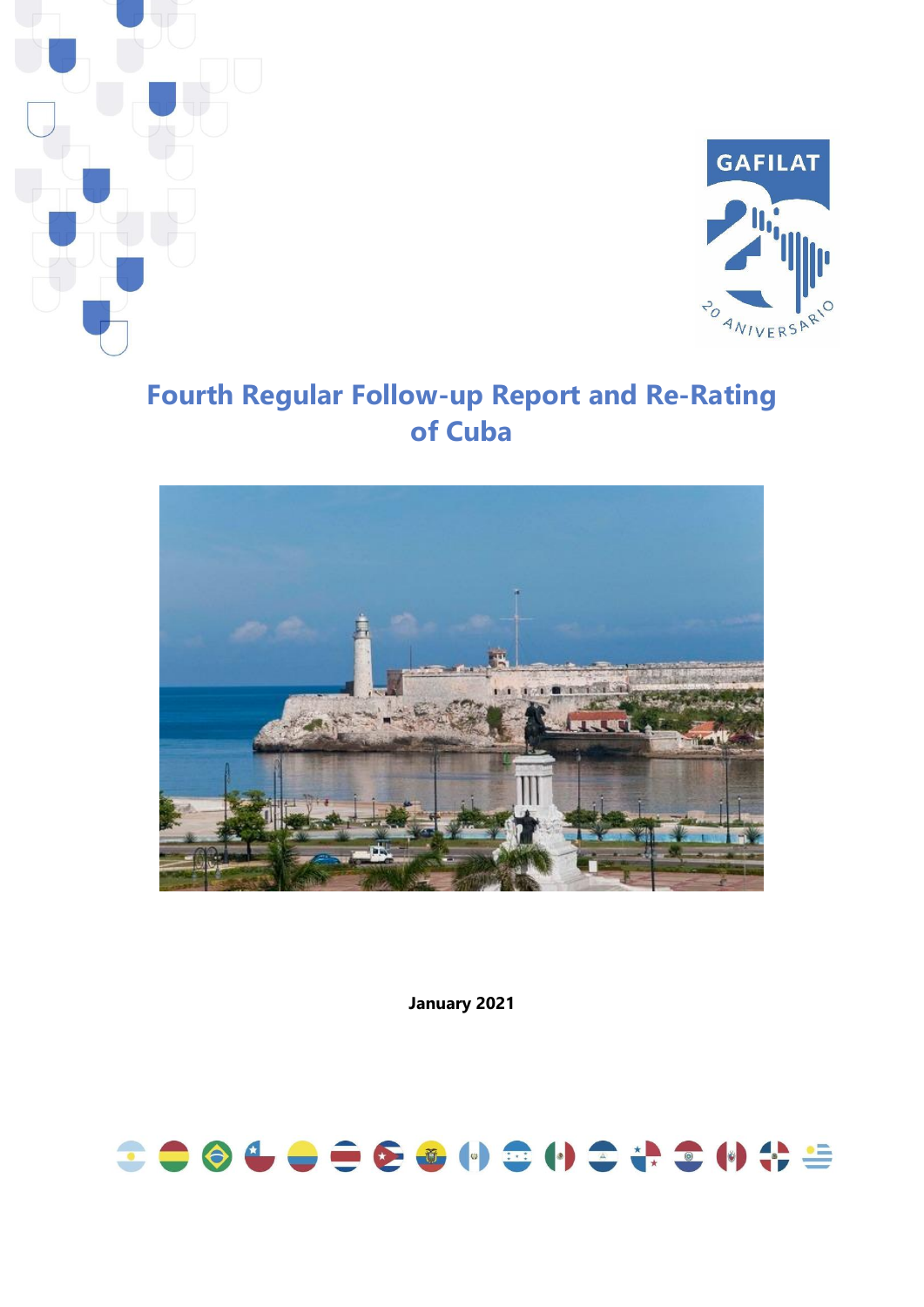



# **Fourth Regular Follow-up Report and Re-Rating of Cuba**



**January 2021**

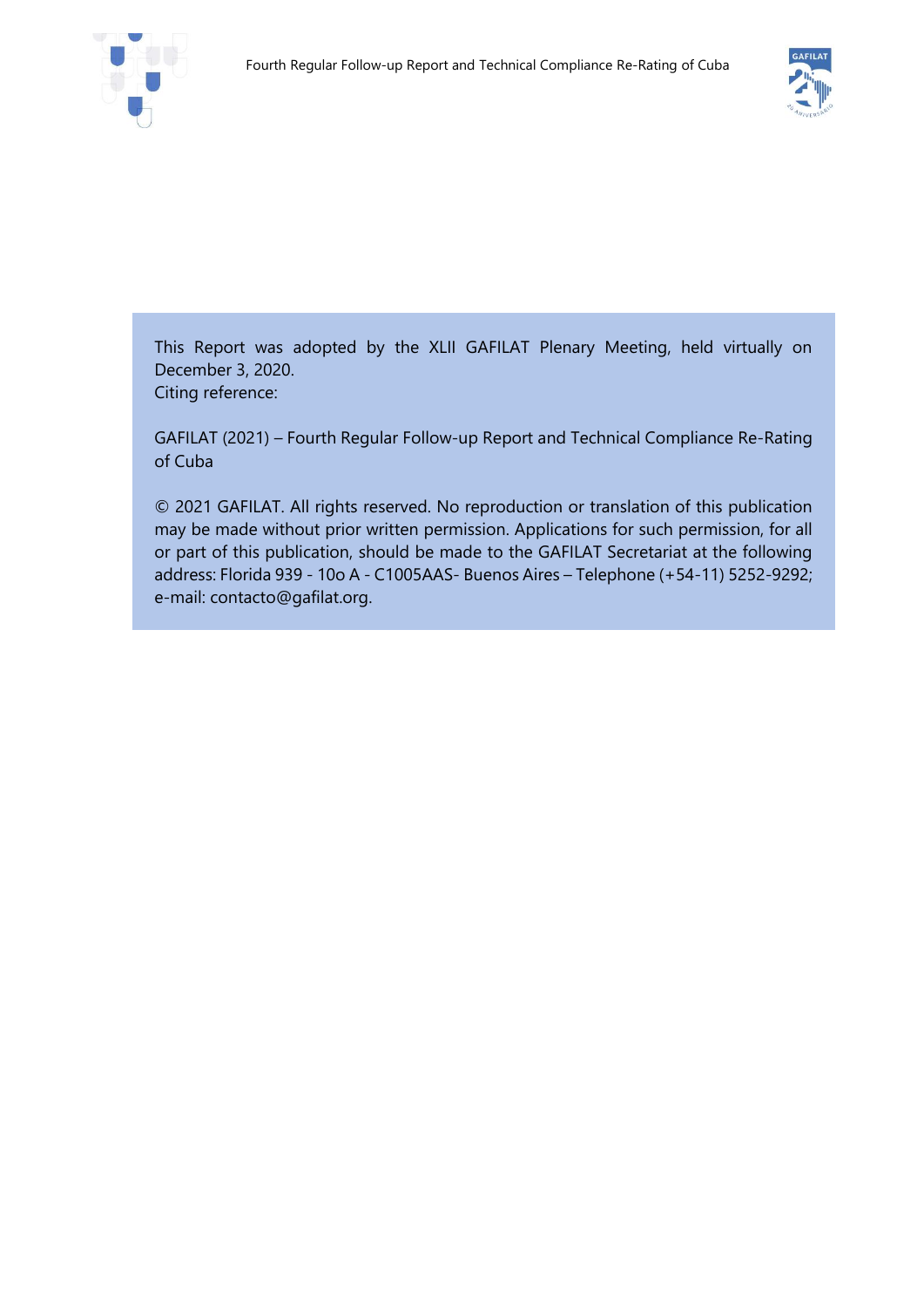



This Report was adopted by the XLII GAFILAT Plenary Meeting, held virtually on December 3, 2020. Citing reference:

GAFILAT (2021) – Fourth Regular Follow-up Report and Technical Compliance Re-Rating of Cuba

© 2021 GAFILAT. All rights reserved. No reproduction or translation of this publication may be made without prior written permission. Applications for such permission, for all or part of this publication, should be made to the GAFILAT Secretariat at the following address: Florida 939 - 10o A - C1005AAS- Buenos Aires – Telephone (+54-11) 5252-9292; e-mail: contacto@gafilat.org.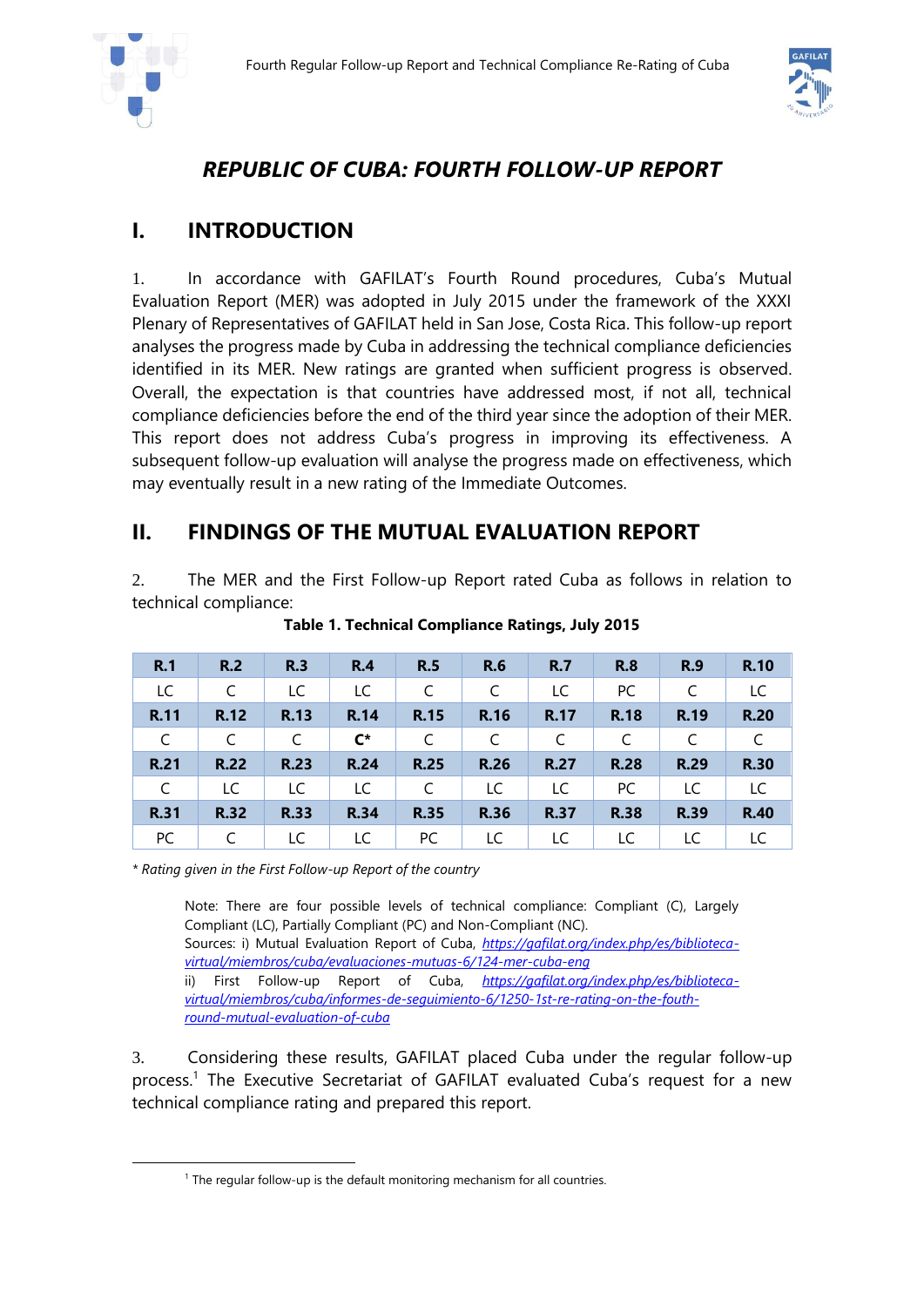

 $\overline{a}$ 



# *REPUBLIC OF CUBA: FOURTH FOLLOW-UP REPORT*

### **I. INTRODUCTION**

1. In accordance with GAFILAT's Fourth Round procedures, Cuba's Mutual Evaluation Report (MER) was adopted in July 2015 under the framework of the XXXI Plenary of Representatives of GAFILAT held in San Jose, Costa Rica. This follow-up report analyses the progress made by Cuba in addressing the technical compliance deficiencies identified in its MER. New ratings are granted when sufficient progress is observed. Overall, the expectation is that countries have addressed most, if not all, technical compliance deficiencies before the end of the third year since the adoption of their MER. This report does not address Cuba's progress in improving its effectiveness. A subsequent follow-up evaluation will analyse the progress made on effectiveness, which may eventually result in a new rating of the Immediate Outcomes.

### **II. FINDINGS OF THE MUTUAL EVALUATION REPORT**

2. The MER and the First Follow-up Report rated Cuba as follows in relation to technical compliance:

| R.1         | R.2         | R.3         | R.4            | <b>R.5</b>  | <b>R.6</b>  | <b>R.7</b>  | R.8         | R.9         | <b>R.10</b> |
|-------------|-------------|-------------|----------------|-------------|-------------|-------------|-------------|-------------|-------------|
| LC          | C           | LC          | LC.            | C           | C           | LC          | PC          | C           | LC          |
| R.11        | R.12        | R.13        | R.14           | R.15        | R.16        | R.17        | <b>R.18</b> | <b>R.19</b> | <b>R.20</b> |
| C           | C           | C           | $\mathsf{C}^*$ | C           | C           | C           | C           | C           |             |
| R.21        | <b>R.22</b> | <b>R.23</b> | <b>R.24</b>    | <b>R.25</b> | <b>R.26</b> | <b>R.27</b> | <b>R.28</b> | <b>R.29</b> | <b>R.30</b> |
| C           | LC          | LC          | LC             | C           | LC          | LC          | PC          | LC          | LC          |
| <b>R.31</b> | <b>R.32</b> | <b>R.33</b> | <b>R.34</b>    | <b>R.35</b> | <b>R.36</b> | <b>R.37</b> | <b>R.38</b> | R.39        | <b>R.40</b> |
| PC          |             | LC          | LC.            | PC.         | LC          | LC          | LC          | LC          | LC          |

**Table 1. Technical Compliance Ratings, July 2015**

*\* Rating given in the First Follow-up Report of the country*

Note: There are four possible levels of technical compliance: Compliant (C), Largely Compliant (LC), Partially Compliant (PC) and Non-Compliant (NC). Sources: i) Mutual Evaluation Report of Cuba, *https://gafilat.org/index.php/es/bibliotecavirtual/miembros/cuba/evaluaciones-mutuas-6/124-mer-cuba-eng* ii) First Follow-up Report of Cuba, *https://gafilat.org/index.php/es/bibliotecavirtual/miembros/cuba/informes-de-seguimiento-6/1250-1st-re-rating-on-the-fouthround-mutual-evaluation-of-cuba*

3. Considering these results, GAFILAT placed Cuba under the regular follow-up process.<sup>1</sup> The Executive Secretariat of GAFILAT evaluated Cuba's request for a new technical compliance rating and prepared this report.

<sup>&</sup>lt;sup>1</sup> The regular follow-up is the default monitoring mechanism for all countries.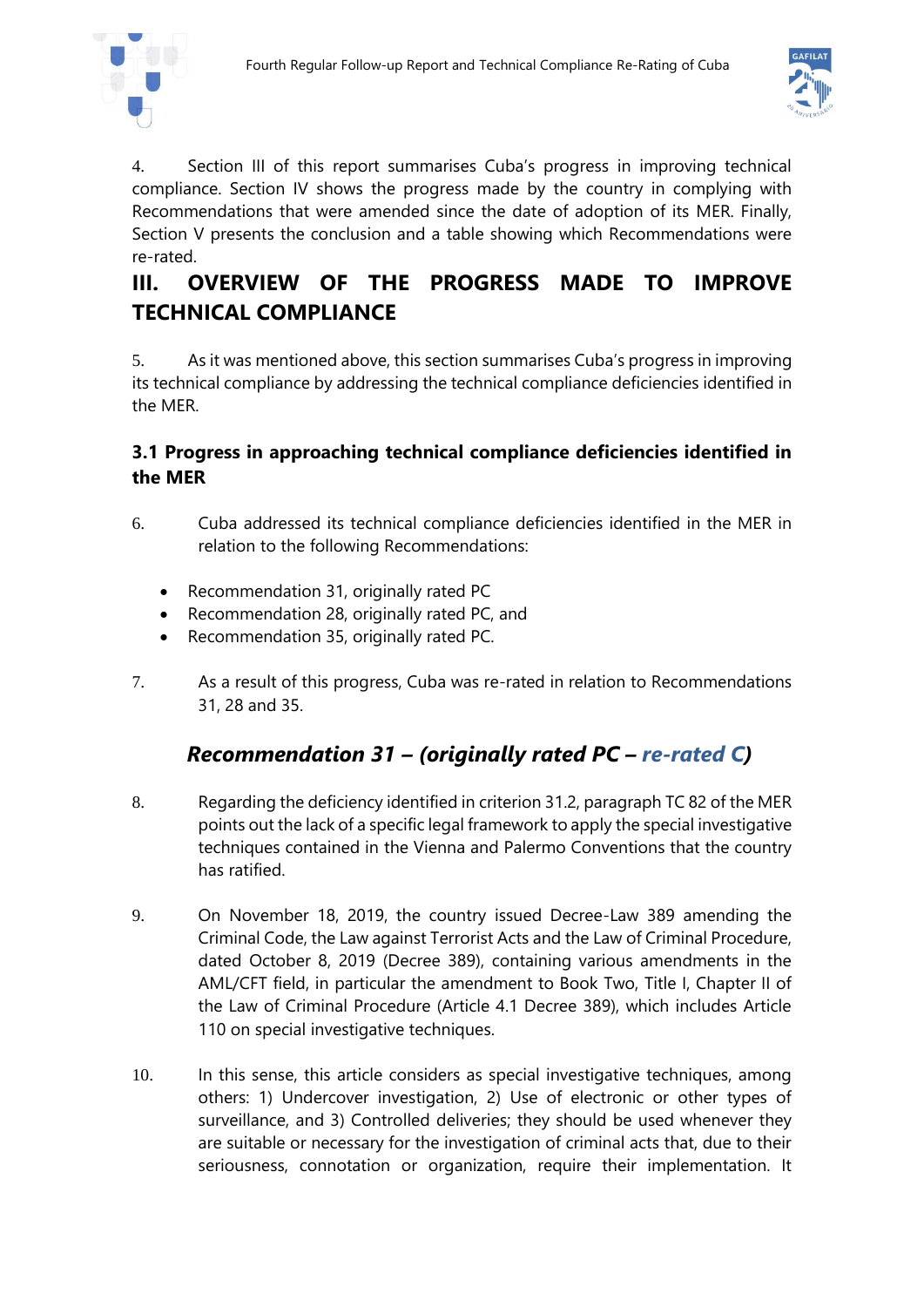



4. Section III of this report summarises Cuba's progress in improving technical compliance. Section IV shows the progress made by the country in complying with Recommendations that were amended since the date of adoption of its MER. Finally, Section V presents the conclusion and a table showing which Recommendations were re-rated.

# **III. OVERVIEW OF THE PROGRESS MADE TO IMPROVE TECHNICAL COMPLIANCE**

5. As it was mentioned above, this section summarises Cuba's progress in improving its technical compliance by addressing the technical compliance deficiencies identified in the MER.

#### **3.1 Progress in approaching technical compliance deficiencies identified in the MER**

- 6. Cuba addressed its technical compliance deficiencies identified in the MER in relation to the following Recommendations:
	- Recommendation 31, originally rated PC
	- Recommendation 28, originally rated PC, and
	- Recommendation 35, originally rated PC.
- 7. As a result of this progress, Cuba was re-rated in relation to Recommendations 31, 28 and 35.

# *Recommendation 31 – (originally rated PC – re-rated C)*

- 8. Regarding the deficiency identified in criterion 31.2, paragraph TC 82 of the MER points out the lack of a specific legal framework to apply the special investigative techniques contained in the Vienna and Palermo Conventions that the country has ratified.
- 9. On November 18, 2019, the country issued Decree-Law 389 amending the Criminal Code, the Law against Terrorist Acts and the Law of Criminal Procedure, dated October 8, 2019 (Decree 389), containing various amendments in the AML/CFT field, in particular the amendment to Book Two, Title I, Chapter II of the Law of Criminal Procedure (Article 4.1 Decree 389), which includes Article 110 on special investigative techniques.
- 10. In this sense, this article considers as special investigative techniques, among others: 1) Undercover investigation, 2) Use of electronic or other types of surveillance, and 3) Controlled deliveries; they should be used whenever they are suitable or necessary for the investigation of criminal acts that, due to their seriousness, connotation or organization, require their implementation. It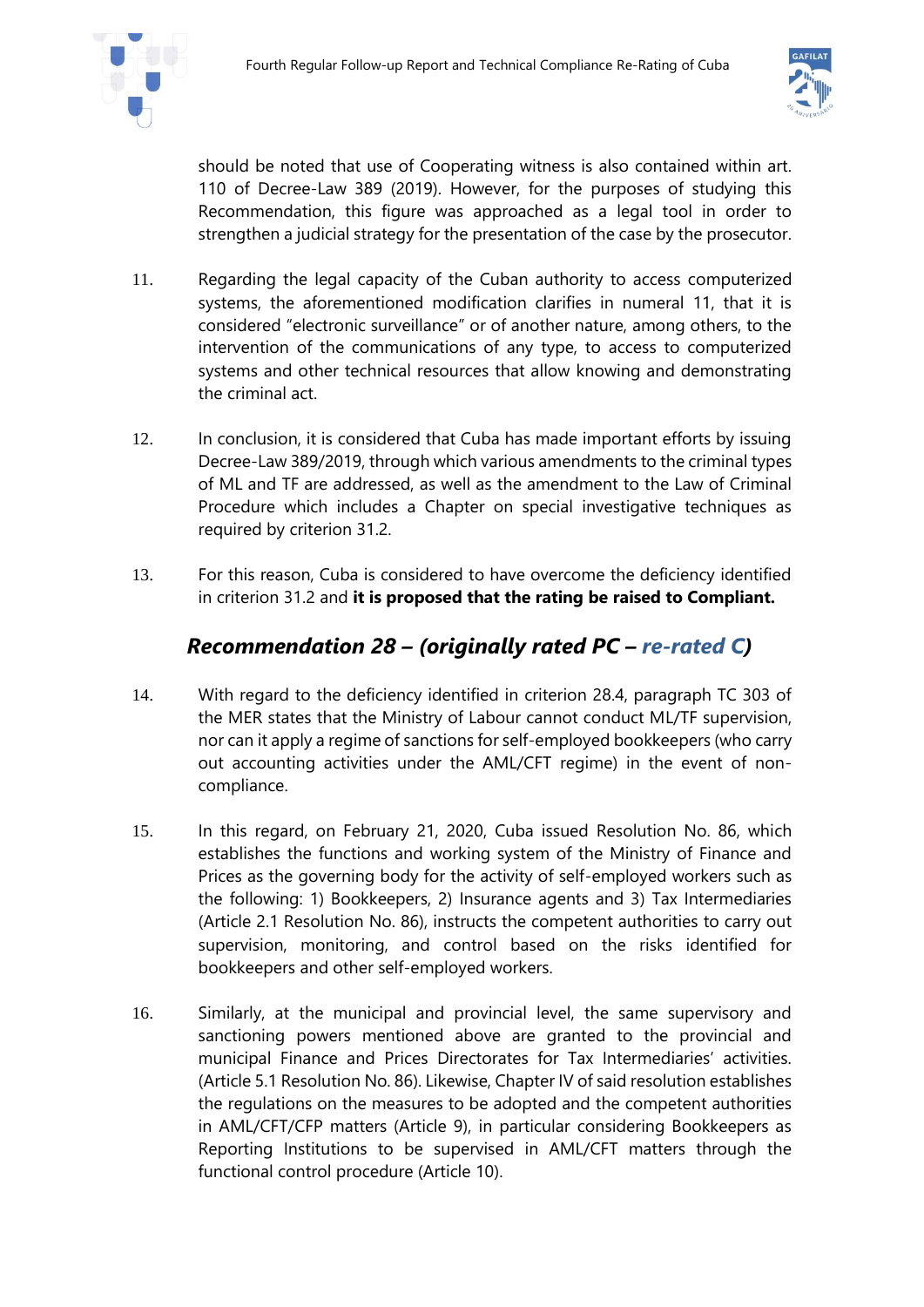



should be noted that use of Cooperating witness is also contained within art. 110 of Decree-Law 389 (2019). However, for the purposes of studying this Recommendation, this figure was approached as a legal tool in order to strengthen a judicial strategy for the presentation of the case by the prosecutor.

- 11. Regarding the legal capacity of the Cuban authority to access computerized systems, the aforementioned modification clarifies in numeral 11, that it is considered "electronic surveillance" or of another nature, among others, to the intervention of the communications of any type, to access to computerized systems and other technical resources that allow knowing and demonstrating the criminal act.
- 12. In conclusion, it is considered that Cuba has made important efforts by issuing Decree-Law 389/2019, through which various amendments to the criminal types of ML and TF are addressed, as well as the amendment to the Law of Criminal Procedure which includes a Chapter on special investigative techniques as required by criterion 31.2.
- 13. For this reason, Cuba is considered to have overcome the deficiency identified in criterion 31.2 and **it is proposed that the rating be raised to Compliant.**

### *Recommendation 28 – (originally rated PC – re-rated C)*

- 14. With regard to the deficiency identified in criterion 28.4, paragraph TC 303 of the MER states that the Ministry of Labour cannot conduct ML/TF supervision, nor can it apply a regime of sanctions for self-employed bookkeepers (who carry out accounting activities under the AML/CFT regime) in the event of noncompliance.
- 15. In this regard, on February 21, 2020, Cuba issued Resolution No. 86, which establishes the functions and working system of the Ministry of Finance and Prices as the governing body for the activity of self-employed workers such as the following: 1) Bookkeepers, 2) Insurance agents and 3) Tax Intermediaries (Article 2.1 Resolution No. 86), instructs the competent authorities to carry out supervision, monitoring, and control based on the risks identified for bookkeepers and other self-employed workers.
- 16. Similarly, at the municipal and provincial level, the same supervisory and sanctioning powers mentioned above are granted to the provincial and municipal Finance and Prices Directorates for Tax Intermediaries' activities. (Article 5.1 Resolution No. 86). Likewise, Chapter IV of said resolution establishes the regulations on the measures to be adopted and the competent authorities in AML/CFT/CFP matters (Article 9), in particular considering Bookkeepers as Reporting Institutions to be supervised in AML/CFT matters through the functional control procedure (Article 10).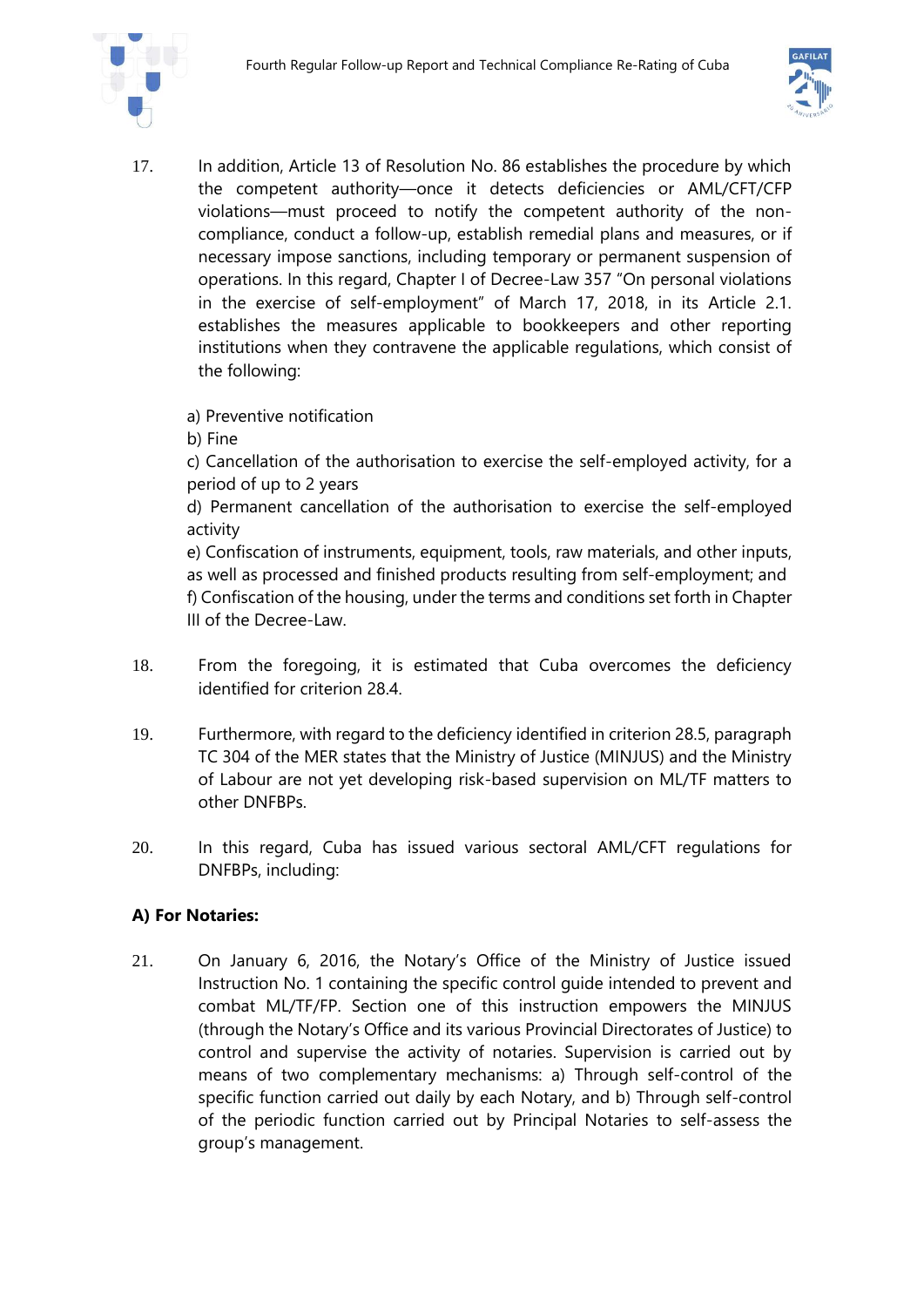

17. In addition, Article 13 of Resolution No. 86 establishes the procedure by which the competent authority—once it detects deficiencies or AML/CFT/CFP violations—must proceed to notify the competent authority of the noncompliance, conduct a follow-up, establish remedial plans and measures, or if necessary impose sanctions, including temporary or permanent suspension of operations. In this regard, Chapter I of Decree-Law 357 "On personal violations in the exercise of self-employment" of March 17, 2018, in its Article 2.1. establishes the measures applicable to bookkeepers and other reporting institutions when they contravene the applicable regulations, which consist of the following:

a) Preventive notification

b) Fine

c) Cancellation of the authorisation to exercise the self-employed activity, for a period of up to 2 years

d) Permanent cancellation of the authorisation to exercise the self-employed activity

e) Confiscation of instruments, equipment, tools, raw materials, and other inputs, as well as processed and finished products resulting from self-employment; and f) Confiscation of the housing, under the terms and conditions set forth in Chapter III of the Decree-Law.

- 18. From the foregoing, it is estimated that Cuba overcomes the deficiency identified for criterion 28.4.
- 19. Furthermore, with regard to the deficiency identified in criterion 28.5, paragraph TC 304 of the MER states that the Ministry of Justice (MINJUS) and the Ministry of Labour are not yet developing risk-based supervision on ML/TF matters to other DNFBPs.
- 20. In this regard, Cuba has issued various sectoral AML/CFT regulations for DNFBPs, including:

#### **A) For Notaries:**

21. On January 6, 2016, the Notary's Office of the Ministry of Justice issued Instruction No. 1 containing the specific control guide intended to prevent and combat ML/TF/FP. Section one of this instruction empowers the MINJUS (through the Notary's Office and its various Provincial Directorates of Justice) to control and supervise the activity of notaries. Supervision is carried out by means of two complementary mechanisms: a) Through self-control of the specific function carried out daily by each Notary, and b) Through self-control of the periodic function carried out by Principal Notaries to self-assess the group's management.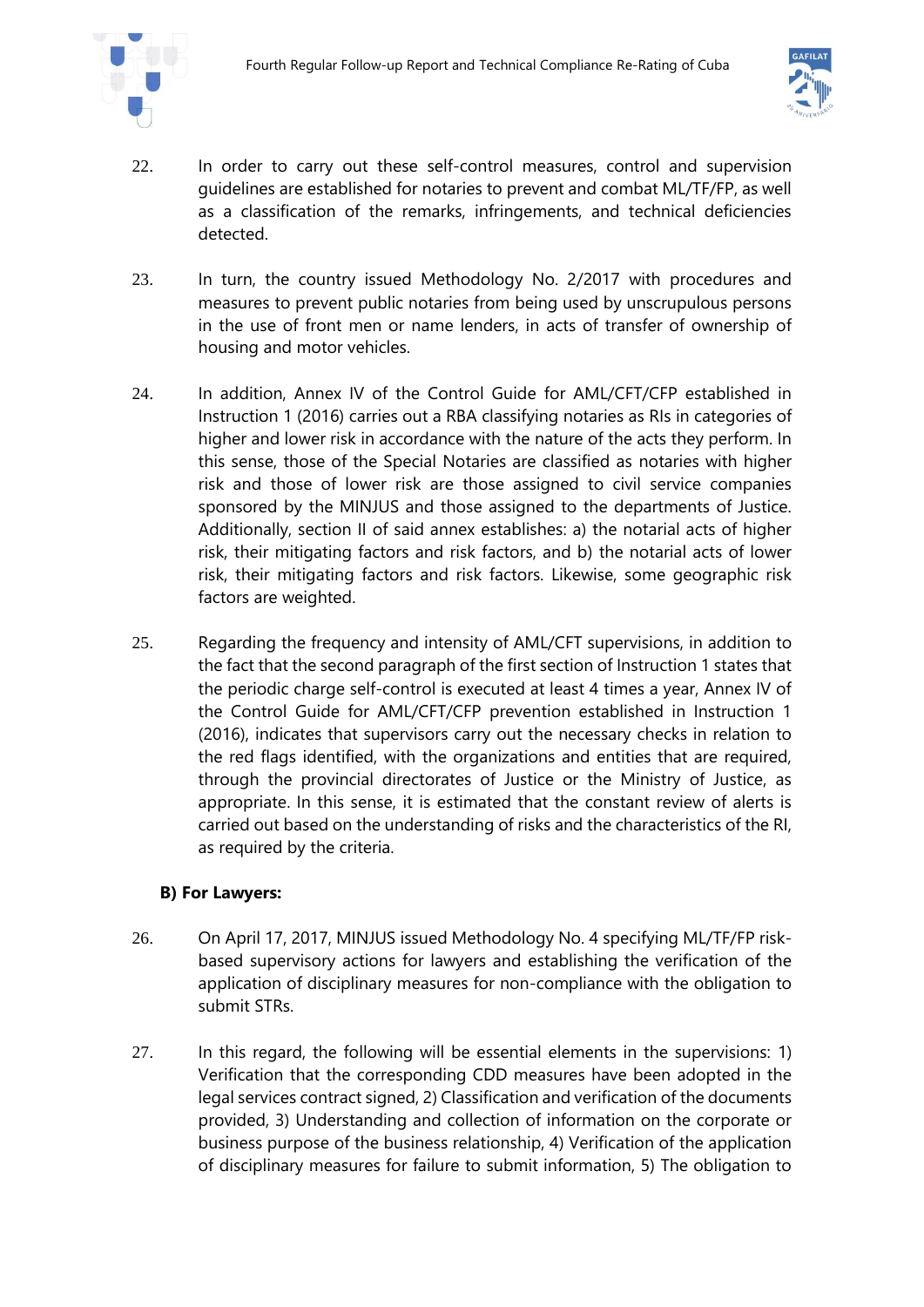



- 22. In order to carry out these self-control measures, control and supervision guidelines are established for notaries to prevent and combat ML/TF/FP, as well as a classification of the remarks, infringements, and technical deficiencies detected.
- 23. In turn, the country issued Methodology No. 2/2017 with procedures and measures to prevent public notaries from being used by unscrupulous persons in the use of front men or name lenders, in acts of transfer of ownership of housing and motor vehicles.
- 24. In addition, Annex IV of the Control Guide for AML/CFT/CFP established in Instruction 1 (2016) carries out a RBA classifying notaries as RIs in categories of higher and lower risk in accordance with the nature of the acts they perform. In this sense, those of the Special Notaries are classified as notaries with higher risk and those of lower risk are those assigned to civil service companies sponsored by the MINJUS and those assigned to the departments of Justice. Additionally, section II of said annex establishes: a) the notarial acts of higher risk, their mitigating factors and risk factors, and b) the notarial acts of lower risk, their mitigating factors and risk factors. Likewise, some geographic risk factors are weighted.
- 25. Regarding the frequency and intensity of AML/CFT supervisions, in addition to the fact that the second paragraph of the first section of Instruction 1 states that the periodic charge self-control is executed at least 4 times a year, Annex IV of the Control Guide for AML/CFT/CFP prevention established in Instruction 1 (2016), indicates that supervisors carry out the necessary checks in relation to the red flags identified, with the organizations and entities that are required, through the provincial directorates of Justice or the Ministry of Justice, as appropriate. In this sense, it is estimated that the constant review of alerts is carried out based on the understanding of risks and the characteristics of the RI, as required by the criteria.

#### **B) For Lawyers:**

- 26. On April 17, 2017, MINJUS issued Methodology No. 4 specifying ML/TF/FP riskbased supervisory actions for lawyers and establishing the verification of the application of disciplinary measures for non-compliance with the obligation to submit STRs.
- 27. In this regard, the following will be essential elements in the supervisions: 1) Verification that the corresponding CDD measures have been adopted in the legal services contract signed, 2) Classification and verification of the documents provided, 3) Understanding and collection of information on the corporate or business purpose of the business relationship, 4) Verification of the application of disciplinary measures for failure to submit information, 5) The obligation to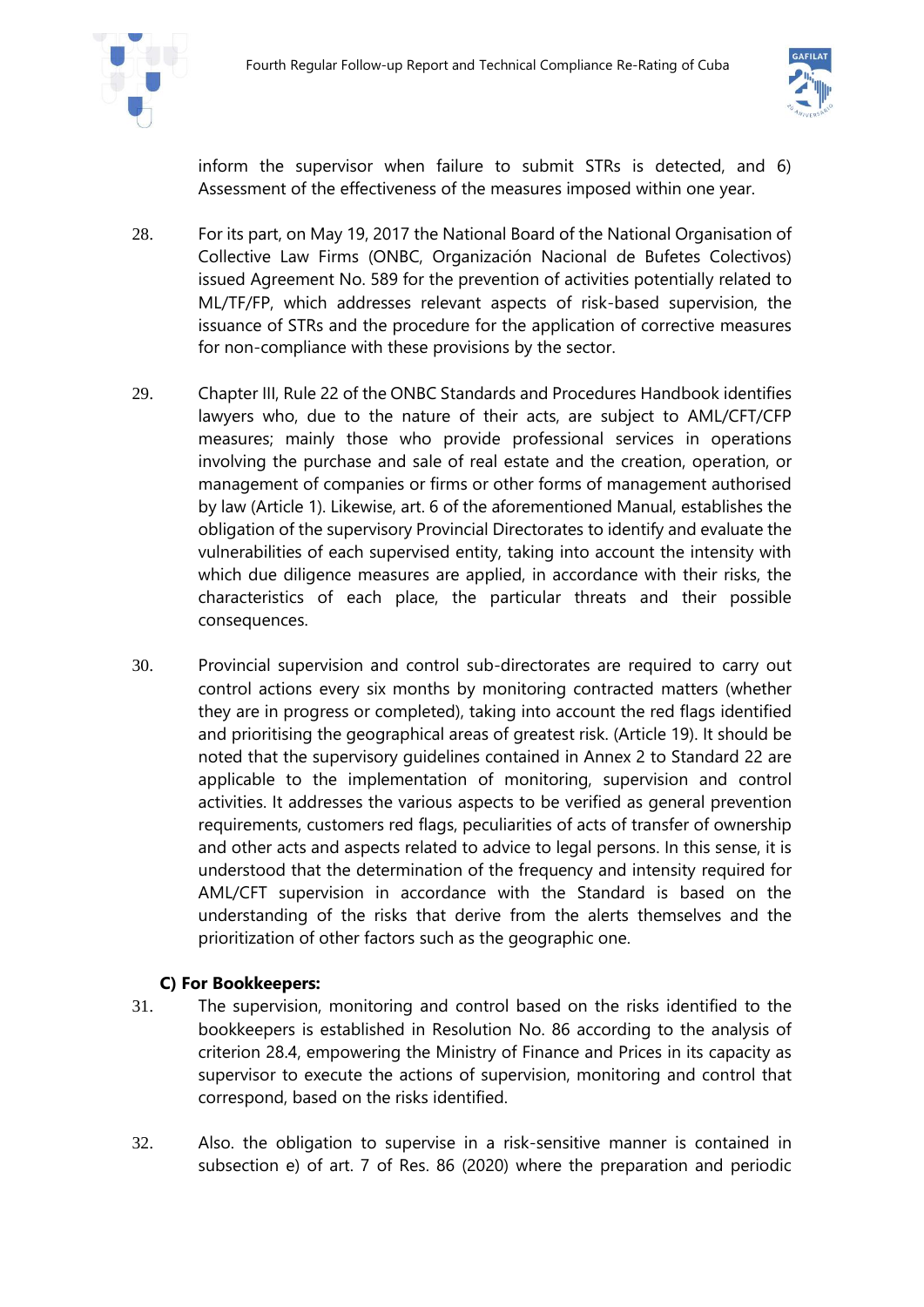



inform the supervisor when failure to submit STRs is detected, and 6) Assessment of the effectiveness of the measures imposed within one year.

- 28. For its part, on May 19, 2017 the National Board of the National Organisation of Collective Law Firms (ONBC, Organización Nacional de Bufetes Colectivos) issued Agreement No. 589 for the prevention of activities potentially related to ML/TF/FP, which addresses relevant aspects of risk-based supervision, the issuance of STRs and the procedure for the application of corrective measures for non-compliance with these provisions by the sector.
- 29. Chapter III, Rule 22 of the ONBC Standards and Procedures Handbook identifies lawyers who, due to the nature of their acts, are subject to AML/CFT/CFP measures; mainly those who provide professional services in operations involving the purchase and sale of real estate and the creation, operation, or management of companies or firms or other forms of management authorised by law (Article 1). Likewise, art. 6 of the aforementioned Manual, establishes the obligation of the supervisory Provincial Directorates to identify and evaluate the vulnerabilities of each supervised entity, taking into account the intensity with which due diligence measures are applied, in accordance with their risks, the characteristics of each place, the particular threats and their possible consequences.
- 30. Provincial supervision and control sub-directorates are required to carry out control actions every six months by monitoring contracted matters (whether they are in progress or completed), taking into account the red flags identified and prioritising the geographical areas of greatest risk. (Article 19). It should be noted that the supervisory guidelines contained in Annex 2 to Standard 22 are applicable to the implementation of monitoring, supervision and control activities. It addresses the various aspects to be verified as general prevention requirements, customers red flags, peculiarities of acts of transfer of ownership and other acts and aspects related to advice to legal persons. In this sense, it is understood that the determination of the frequency and intensity required for AML/CFT supervision in accordance with the Standard is based on the understanding of the risks that derive from the alerts themselves and the prioritization of other factors such as the geographic one.

#### **C) For Bookkeepers:**

- 31. The supervision, monitoring and control based on the risks identified to the bookkeepers is established in Resolution No. 86 according to the analysis of criterion 28.4, empowering the Ministry of Finance and Prices in its capacity as supervisor to execute the actions of supervision, monitoring and control that correspond, based on the risks identified.
- 32. Also. the obligation to supervise in a risk-sensitive manner is contained in subsection e) of art. 7 of Res. 86 (2020) where the preparation and periodic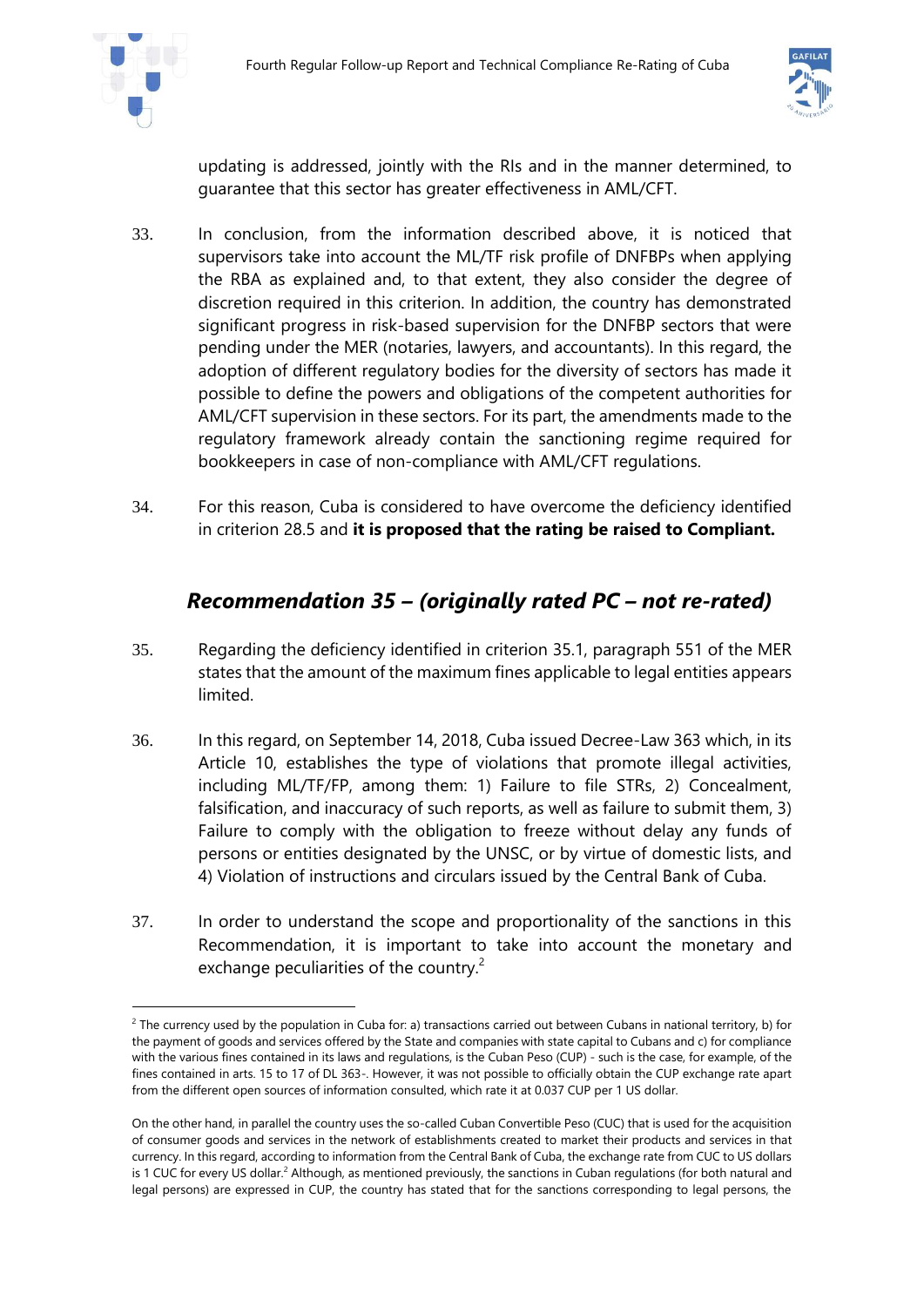-



updating is addressed, jointly with the RIs and in the manner determined, to guarantee that this sector has greater effectiveness in AML/CFT.

- 33. In conclusion, from the information described above, it is noticed that supervisors take into account the ML/TF risk profile of DNFBPs when applying the RBA as explained and, to that extent, they also consider the degree of discretion required in this criterion. In addition, the country has demonstrated significant progress in risk-based supervision for the DNFBP sectors that were pending under the MER (notaries, lawyers, and accountants). In this regard, the adoption of different regulatory bodies for the diversity of sectors has made it possible to define the powers and obligations of the competent authorities for AML/CFT supervision in these sectors. For its part, the amendments made to the regulatory framework already contain the sanctioning regime required for bookkeepers in case of non-compliance with AML/CFT regulations.
- 34. For this reason, Cuba is considered to have overcome the deficiency identified in criterion 28.5 and **it is proposed that the rating be raised to Compliant.**

### *Recommendation 35 – (originally rated PC – not re-rated)*

- 35. Regarding the deficiency identified in criterion 35.1, paragraph 551 of the MER states that the amount of the maximum fines applicable to legal entities appears limited.
- 36. In this regard, on September 14, 2018, Cuba issued Decree-Law 363 which, in its Article 10, establishes the type of violations that promote illegal activities, including ML/TF/FP, among them: 1) Failure to file STRs, 2) Concealment, falsification, and inaccuracy of such reports, as well as failure to submit them, 3) Failure to comply with the obligation to freeze without delay any funds of persons or entities designated by the UNSC, or by virtue of domestic lists, and 4) Violation of instructions and circulars issued by the Central Bank of Cuba.
- 37. In order to understand the scope and proportionality of the sanctions in this Recommendation, it is important to take into account the monetary and exchange peculiarities of the country.<sup>2</sup>

 $2$  The currency used by the population in Cuba for: a) transactions carried out between Cubans in national territory, b) for the payment of goods and services offered by the State and companies with state capital to Cubans and c) for compliance with the various fines contained in its laws and regulations, is the Cuban Peso (CUP) - such is the case, for example, of the fines contained in arts. 15 to 17 of DL 363-. However, it was not possible to officially obtain the CUP exchange rate apart from the different open sources of information consulted, which rate it at 0.037 CUP per 1 US dollar.

On the other hand, in parallel the country uses the so-called Cuban Convertible Peso (CUC) that is used for the acquisition of consumer goods and services in the network of establishments created to market their products and services in that currency. In this regard, according to information from the Central Bank of Cuba, the exchange rate from CUC to US dollars is 1 CUC for every US dollar.<sup>2</sup> Although, as mentioned previously, the sanctions in Cuban regulations (for both natural and legal persons) are expressed in CUP, the country has stated that for the sanctions corresponding to legal persons, the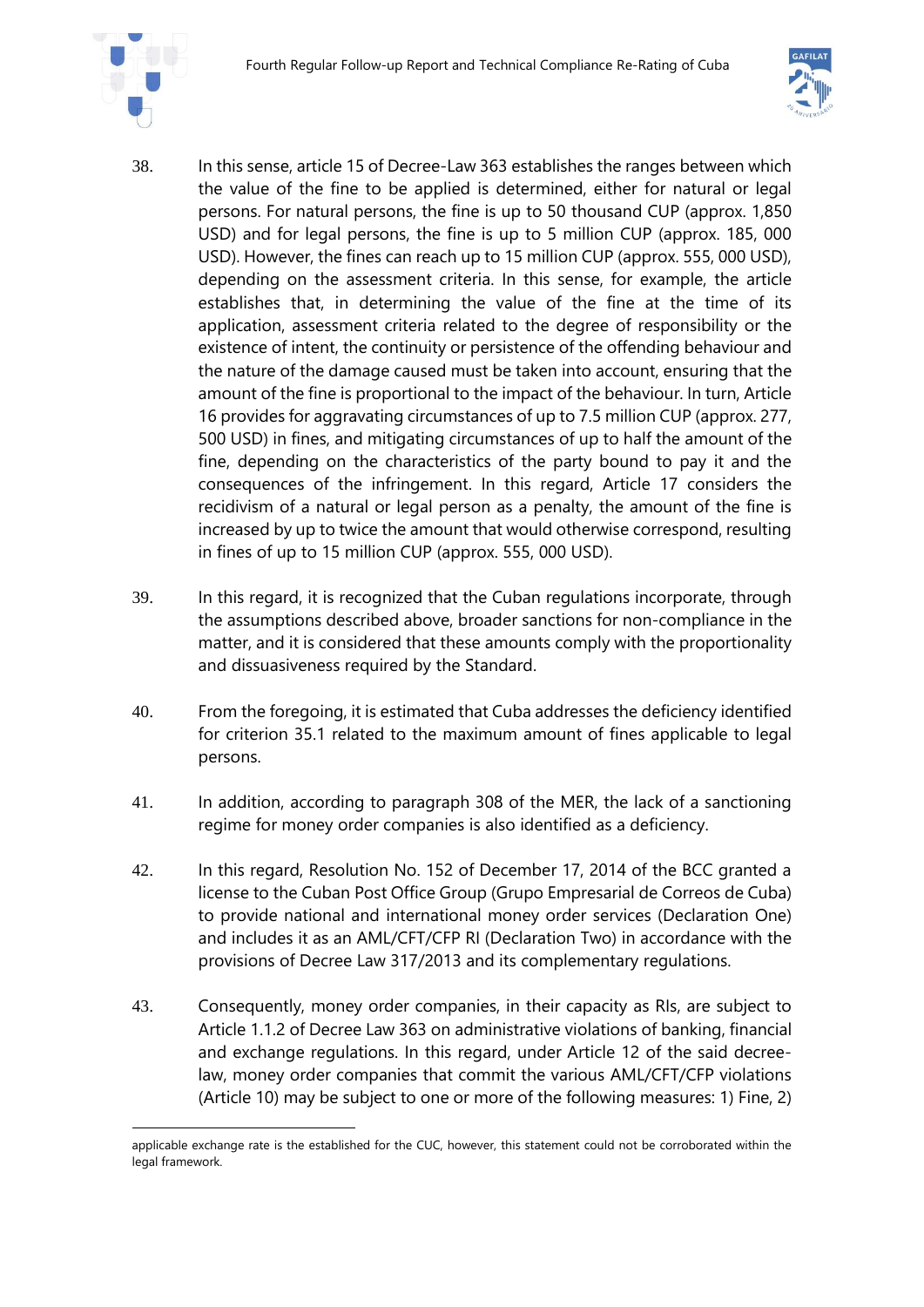

 $\overline{a}$ 



- 38. In this sense, article 15 of Decree-Law 363 establishes the ranges between which the value of the fine to be applied is determined, either for natural or legal persons. For natural persons, the fine is up to 50 thousand CUP (approx. 1,850 USD) and for legal persons, the fine is up to 5 million CUP (approx. 185, 000 USD). However, the fines can reach up to 15 million CUP (approx. 555, 000 USD), depending on the assessment criteria. In this sense, for example, the article establishes that, in determining the value of the fine at the time of its application, assessment criteria related to the degree of responsibility or the existence of intent, the continuity or persistence of the offending behaviour and the nature of the damage caused must be taken into account, ensuring that the amount of the fine is proportional to the impact of the behaviour. In turn, Article 16 provides for aggravating circumstances of up to 7.5 million CUP (approx. 277, 500 USD) in fines, and mitigating circumstances of up to half the amount of the fine, depending on the characteristics of the party bound to pay it and the consequences of the infringement. In this regard, Article 17 considers the recidivism of a natural or legal person as a penalty, the amount of the fine is increased by up to twice the amount that would otherwise correspond, resulting in fines of up to 15 million CUP (approx. 555, 000 USD).
- 39. In this regard, it is recognized that the Cuban regulations incorporate, through the assumptions described above, broader sanctions for non-compliance in the matter, and it is considered that these amounts comply with the proportionality and dissuasiveness required by the Standard.
- 40. From the foregoing, it is estimated that Cuba addresses the deficiency identified for criterion 35.1 related to the maximum amount of fines applicable to legal persons.
- 41. In addition, according to paragraph 308 of the MER, the lack of a sanctioning regime for money order companies is also identified as a deficiency.
- 42. In this regard, Resolution No. 152 of December 17, 2014 of the BCC granted a license to the Cuban Post Office Group (Grupo Empresarial de Correos de Cuba) to provide national and international money order services (Declaration One) and includes it as an AML/CFT/CFP RI (Declaration Two) in accordance with the provisions of Decree Law 317/2013 and its complementary regulations.
- 43. Consequently, money order companies, in their capacity as RIs, are subject to Article 1.1.2 of Decree Law 363 on administrative violations of banking, financial and exchange regulations. In this regard, under Article 12 of the said decreelaw, money order companies that commit the various AML/CFT/CFP violations (Article 10) may be subject to one or more of the following measures: 1) Fine, 2)

applicable exchange rate is the established for the CUC, however, this statement could not be corroborated within the legal framework.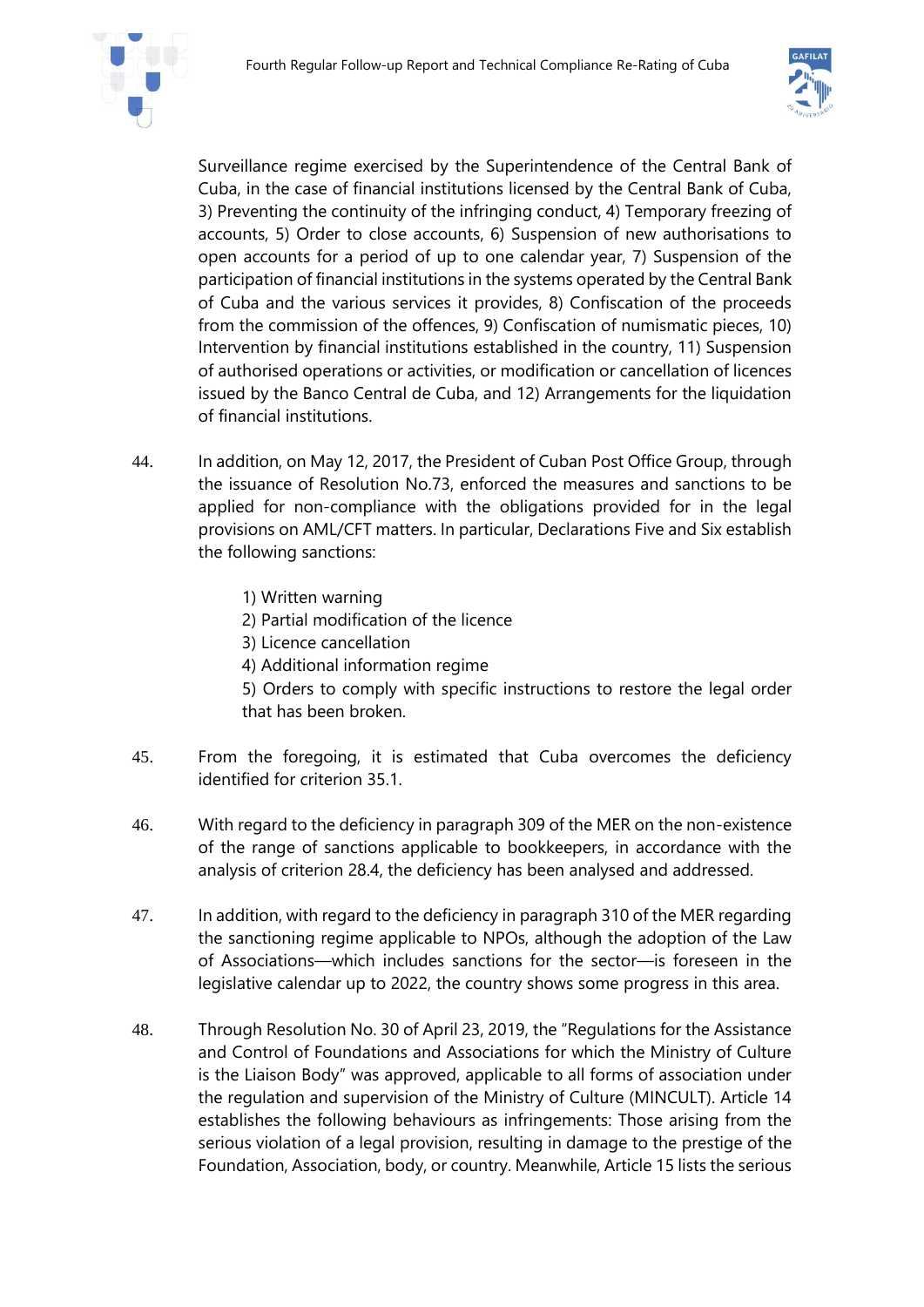



Surveillance regime exercised by the Superintendence of the Central Bank of Cuba, in the case of financial institutions licensed by the Central Bank of Cuba, 3) Preventing the continuity of the infringing conduct, 4) Temporary freezing of accounts, 5) Order to close accounts, 6) Suspension of new authorisations to open accounts for a period of up to one calendar year, 7) Suspension of the participation of financial institutions in the systems operated by the Central Bank of Cuba and the various services it provides, 8) Confiscation of the proceeds from the commission of the offences, 9) Confiscation of numismatic pieces, 10) Intervention by financial institutions established in the country, 11) Suspension of authorised operations or activities, or modification or cancellation of licences issued by the Banco Central de Cuba, and 12) Arrangements for the liquidation of financial institutions.

- 44. In addition, on May 12, 2017, the President of Cuban Post Office Group, through the issuance of Resolution No.73, enforced the measures and sanctions to be applied for non-compliance with the obligations provided for in the legal provisions on AML/CFT matters. In particular, Declarations Five and Six establish the following sanctions:
	- 1) Written warning
	- 2) Partial modification of the licence
	- 3) Licence cancellation
	- 4) Additional information regime
	- 5) Orders to comply with specific instructions to restore the legal order that has been broken.
- 45. From the foregoing, it is estimated that Cuba overcomes the deficiency identified for criterion 35.1.
- 46. With regard to the deficiency in paragraph 309 of the MER on the non-existence of the range of sanctions applicable to bookkeepers, in accordance with the analysis of criterion 28.4, the deficiency has been analysed and addressed.
- 47. In addition, with regard to the deficiency in paragraph 310 of the MER regarding the sanctioning regime applicable to NPOs, although the adoption of the Law of Associations—which includes sanctions for the sector—is foreseen in the legislative calendar up to 2022, the country shows some progress in this area.
- 48. Through Resolution No. 30 of April 23, 2019, the "Regulations for the Assistance and Control of Foundations and Associations for which the Ministry of Culture is the Liaison Body" was approved, applicable to all forms of association under the regulation and supervision of the Ministry of Culture (MINCULT). Article 14 establishes the following behaviours as infringements: Those arising from the serious violation of a legal provision, resulting in damage to the prestige of the Foundation, Association, body, or country. Meanwhile, Article 15 lists the serious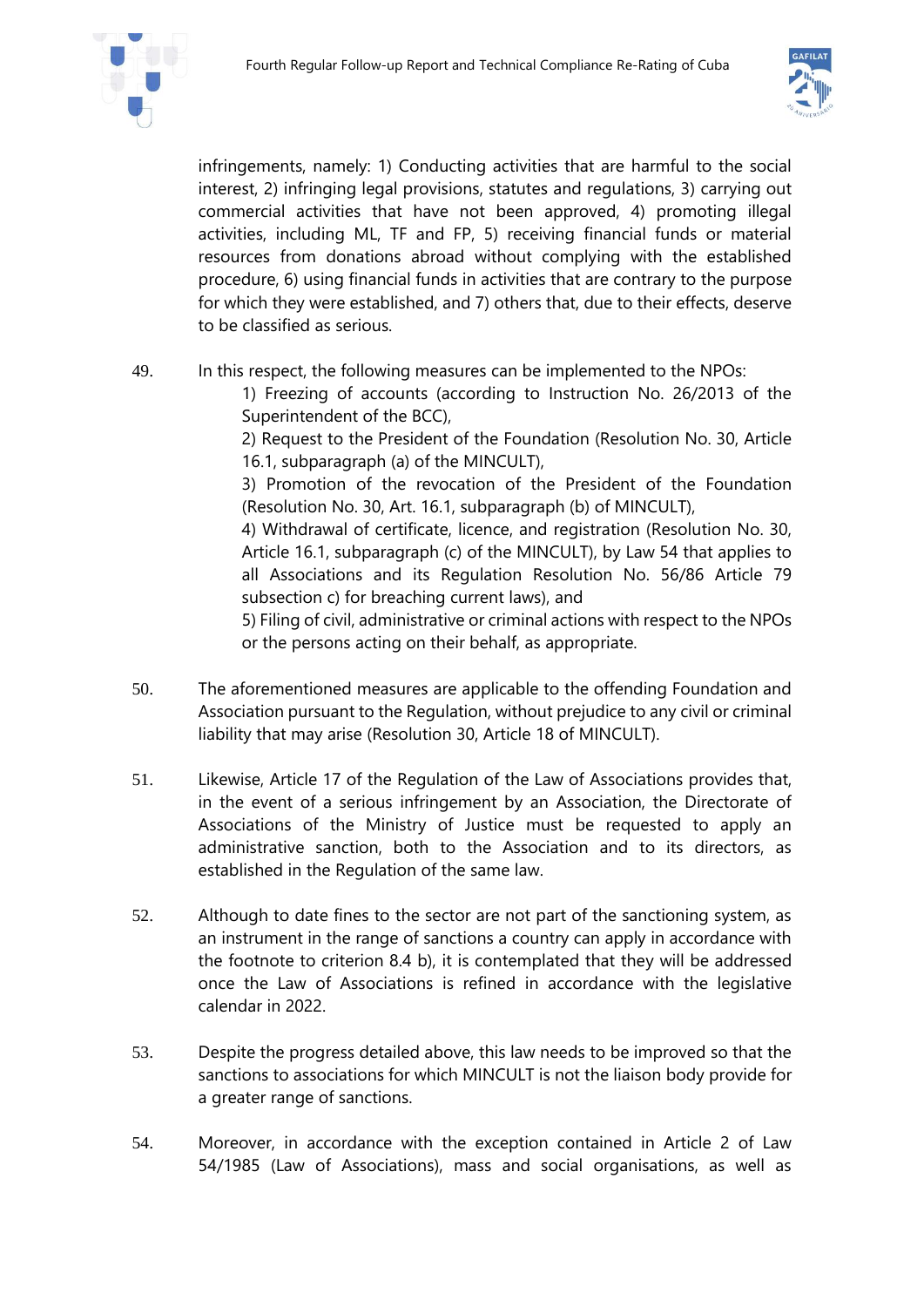



infringements, namely: 1) Conducting activities that are harmful to the social interest, 2) infringing legal provisions, statutes and regulations, 3) carrying out commercial activities that have not been approved, 4) promoting illegal activities, including ML, TF and FP, 5) receiving financial funds or material resources from donations abroad without complying with the established procedure, 6) using financial funds in activities that are contrary to the purpose for which they were established, and 7) others that, due to their effects, deserve to be classified as serious.

49. In this respect, the following measures can be implemented to the NPOs:

1) Freezing of accounts (according to Instruction No. 26/2013 of the Superintendent of the BCC),

2) Request to the President of the Foundation (Resolution No. 30, Article 16.1, subparagraph (a) of the MINCULT),

3) Promotion of the revocation of the President of the Foundation (Resolution No. 30, Art. 16.1, subparagraph (b) of MINCULT),

4) Withdrawal of certificate, licence, and registration (Resolution No. 30, Article 16.1, subparagraph (c) of the MINCULT), by Law 54 that applies to all Associations and its Regulation Resolution No. 56/86 Article 79 subsection c) for breaching current laws), and

5) Filing of civil, administrative or criminal actions with respect to the NPOs or the persons acting on their behalf, as appropriate.

- 50. The aforementioned measures are applicable to the offending Foundation and Association pursuant to the Regulation, without prejudice to any civil or criminal liability that may arise (Resolution 30, Article 18 of MINCULT).
- 51. Likewise, Article 17 of the Regulation of the Law of Associations provides that, in the event of a serious infringement by an Association, the Directorate of Associations of the Ministry of Justice must be requested to apply an administrative sanction, both to the Association and to its directors, as established in the Regulation of the same law.
- 52. Although to date fines to the sector are not part of the sanctioning system, as an instrument in the range of sanctions a country can apply in accordance with the footnote to criterion 8.4 b), it is contemplated that they will be addressed once the Law of Associations is refined in accordance with the legislative calendar in 2022.
- 53. Despite the progress detailed above, this law needs to be improved so that the sanctions to associations for which MINCULT is not the liaison body provide for a greater range of sanctions.
- 54. Moreover, in accordance with the exception contained in Article 2 of Law 54/1985 (Law of Associations), mass and social organisations, as well as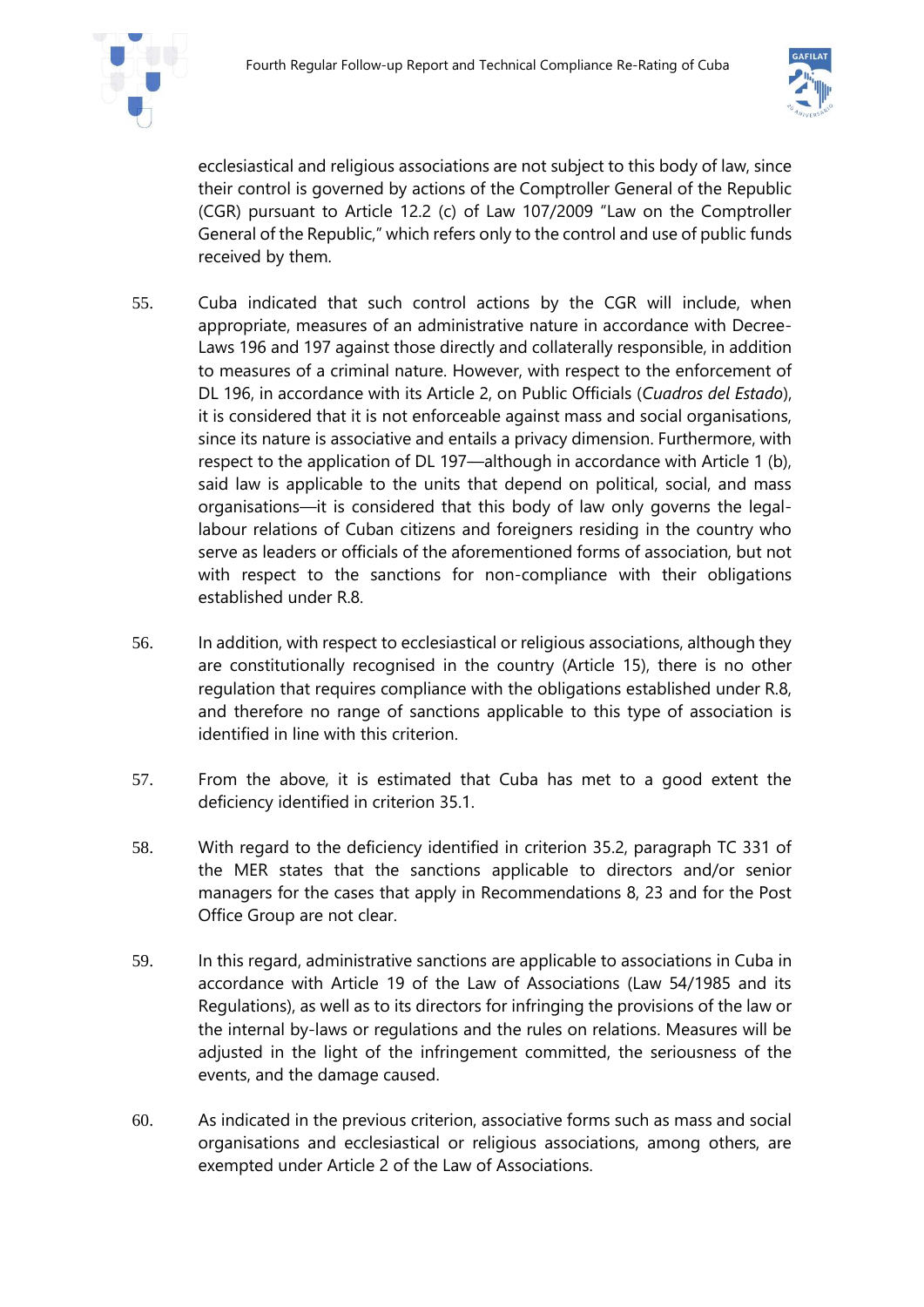



ecclesiastical and religious associations are not subject to this body of law, since their control is governed by actions of the Comptroller General of the Republic (CGR) pursuant to Article 12.2 (c) of Law 107/2009 "Law on the Comptroller General of the Republic," which refers only to the control and use of public funds received by them.

- 55. Cuba indicated that such control actions by the CGR will include, when appropriate, measures of an administrative nature in accordance with Decree-Laws 196 and 197 against those directly and collaterally responsible, in addition to measures of a criminal nature. However, with respect to the enforcement of DL 196, in accordance with its Article 2, on Public Officials (*Cuadros del Estado*), it is considered that it is not enforceable against mass and social organisations, since its nature is associative and entails a privacy dimension. Furthermore, with respect to the application of DL 197—although in accordance with Article 1 (b), said law is applicable to the units that depend on political, social, and mass organisations—it is considered that this body of law only governs the legallabour relations of Cuban citizens and foreigners residing in the country who serve as leaders or officials of the aforementioned forms of association, but not with respect to the sanctions for non-compliance with their obligations established under R.8.
- 56. In addition, with respect to ecclesiastical or religious associations, although they are constitutionally recognised in the country (Article 15), there is no other regulation that requires compliance with the obligations established under R.8, and therefore no range of sanctions applicable to this type of association is identified in line with this criterion.
- 57. From the above, it is estimated that Cuba has met to a good extent the deficiency identified in criterion 35.1.
- 58. With regard to the deficiency identified in criterion 35.2, paragraph TC 331 of the MER states that the sanctions applicable to directors and/or senior managers for the cases that apply in Recommendations 8, 23 and for the Post Office Group are not clear.
- 59. In this regard, administrative sanctions are applicable to associations in Cuba in accordance with Article 19 of the Law of Associations (Law 54/1985 and its Regulations), as well as to its directors for infringing the provisions of the law or the internal by-laws or regulations and the rules on relations. Measures will be adjusted in the light of the infringement committed, the seriousness of the events, and the damage caused.
- 60. As indicated in the previous criterion, associative forms such as mass and social organisations and ecclesiastical or religious associations, among others, are exempted under Article 2 of the Law of Associations.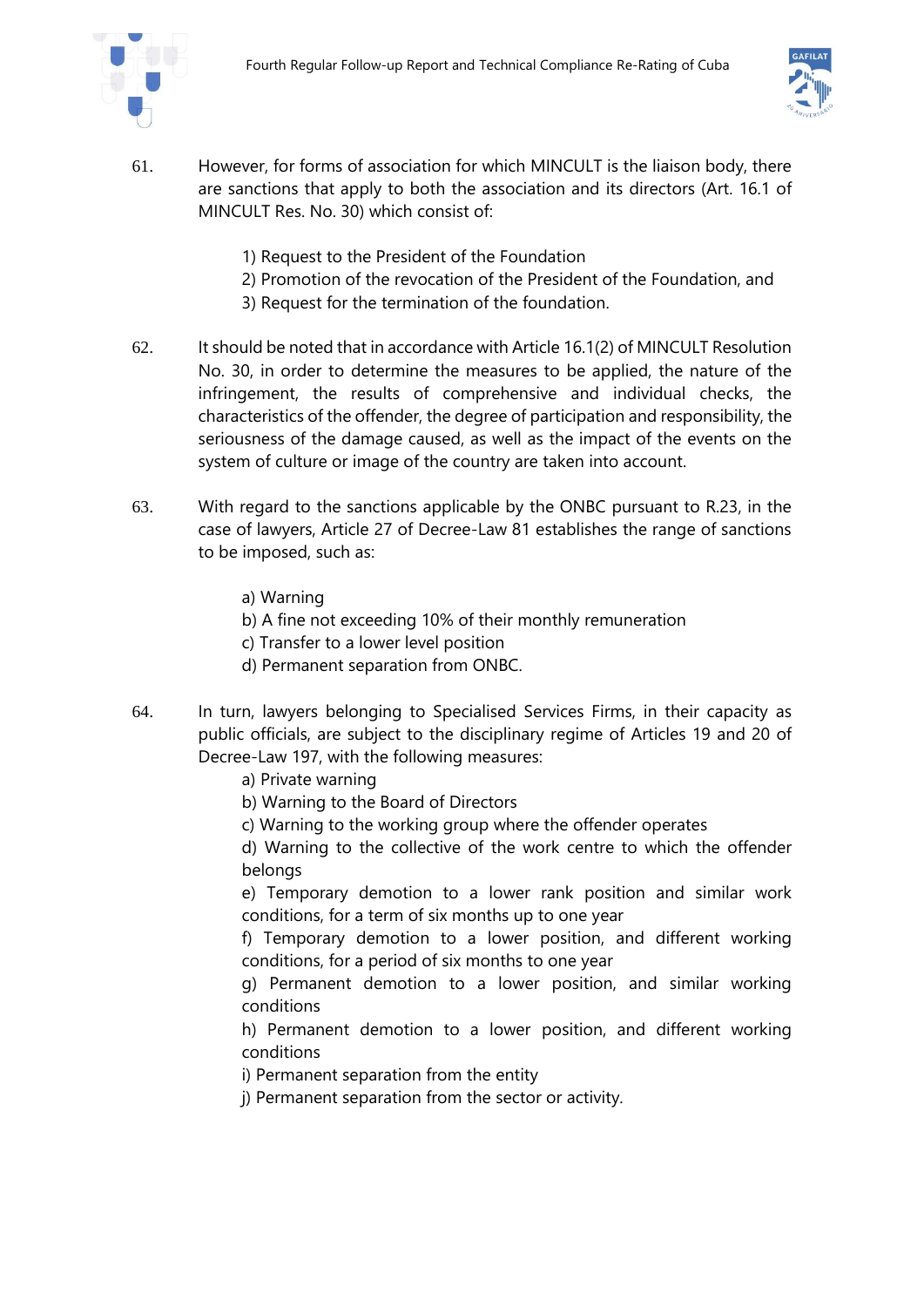



- 61. However, for forms of association for which MINCULT is the liaison body, there are sanctions that apply to both the association and its directors (Art. 16.1 of MINCULT Res. No. 30) which consist of:
	- 1) Request to the President of the Foundation
	- 2) Promotion of the revocation of the President of the Foundation, and
	- 3) Request for the termination of the foundation.
- 62. It should be noted that in accordance with Article 16.1(2) of MINCULT Resolution No. 30, in order to determine the measures to be applied, the nature of the infringement, the results of comprehensive and individual checks, the characteristics of the offender, the degree of participation and responsibility, the seriousness of the damage caused, as well as the impact of the events on the system of culture or image of the country are taken into account.
- 63. With regard to the sanctions applicable by the ONBC pursuant to R.23, in the case of lawyers, Article 27 of Decree-Law 81 establishes the range of sanctions to be imposed, such as:
	- a) Warning
	- b) A fine not exceeding 10% of their monthly remuneration
	- c) Transfer to a lower level position
	- d) Permanent separation from ONBC.
- 64. In turn, lawyers belonging to Specialised Services Firms, in their capacity as public officials, are subject to the disciplinary regime of Articles 19 and 20 of Decree-Law 197, with the following measures:
	- a) Private warning
	- b) Warning to the Board of Directors
	- c) Warning to the working group where the offender operates

d) Warning to the collective of the work centre to which the offender belongs

e) Temporary demotion to a lower rank position and similar work conditions, for a term of six months up to one year

f) Temporary demotion to a lower position, and different working conditions, for a period of six months to one year

g) Permanent demotion to a lower position, and similar working conditions

h) Permanent demotion to a lower position, and different working conditions

i) Permanent separation from the entity

j) Permanent separation from the sector or activity.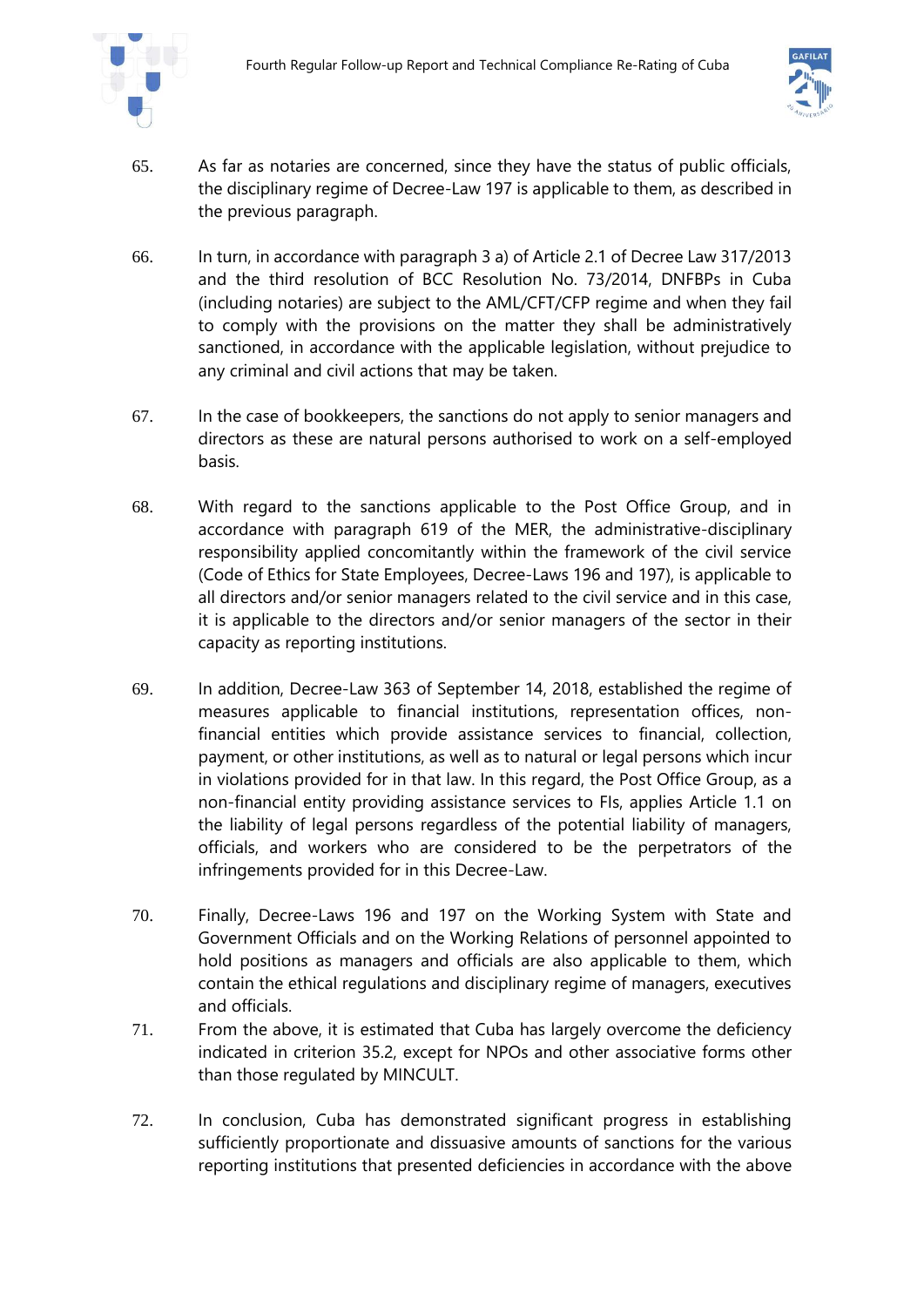



- 65. As far as notaries are concerned, since they have the status of public officials, the disciplinary regime of Decree-Law 197 is applicable to them, as described in the previous paragraph.
- 66. In turn, in accordance with paragraph 3 a) of Article 2.1 of Decree Law 317/2013 and the third resolution of BCC Resolution No. 73/2014, DNFBPs in Cuba (including notaries) are subject to the AML/CFT/CFP regime and when they fail to comply with the provisions on the matter they shall be administratively sanctioned, in accordance with the applicable legislation, without prejudice to any criminal and civil actions that may be taken.
- 67. In the case of bookkeepers, the sanctions do not apply to senior managers and directors as these are natural persons authorised to work on a self-employed basis.
- 68. With regard to the sanctions applicable to the Post Office Group, and in accordance with paragraph 619 of the MER, the administrative-disciplinary responsibility applied concomitantly within the framework of the civil service (Code of Ethics for State Employees, Decree-Laws 196 and 197), is applicable to all directors and/or senior managers related to the civil service and in this case, it is applicable to the directors and/or senior managers of the sector in their capacity as reporting institutions.
- 69. In addition, Decree-Law 363 of September 14, 2018, established the regime of measures applicable to financial institutions, representation offices, nonfinancial entities which provide assistance services to financial, collection, payment, or other institutions, as well as to natural or legal persons which incur in violations provided for in that law. In this regard, the Post Office Group, as a non-financial entity providing assistance services to FIs, applies Article 1.1 on the liability of legal persons regardless of the potential liability of managers, officials, and workers who are considered to be the perpetrators of the infringements provided for in this Decree-Law.
- 70. Finally, Decree-Laws 196 and 197 on the Working System with State and Government Officials and on the Working Relations of personnel appointed to hold positions as managers and officials are also applicable to them, which contain the ethical regulations and disciplinary regime of managers, executives and officials.
- 71. From the above, it is estimated that Cuba has largely overcome the deficiency indicated in criterion 35.2, except for NPOs and other associative forms other than those regulated by MINCULT.
- 72. In conclusion, Cuba has demonstrated significant progress in establishing sufficiently proportionate and dissuasive amounts of sanctions for the various reporting institutions that presented deficiencies in accordance with the above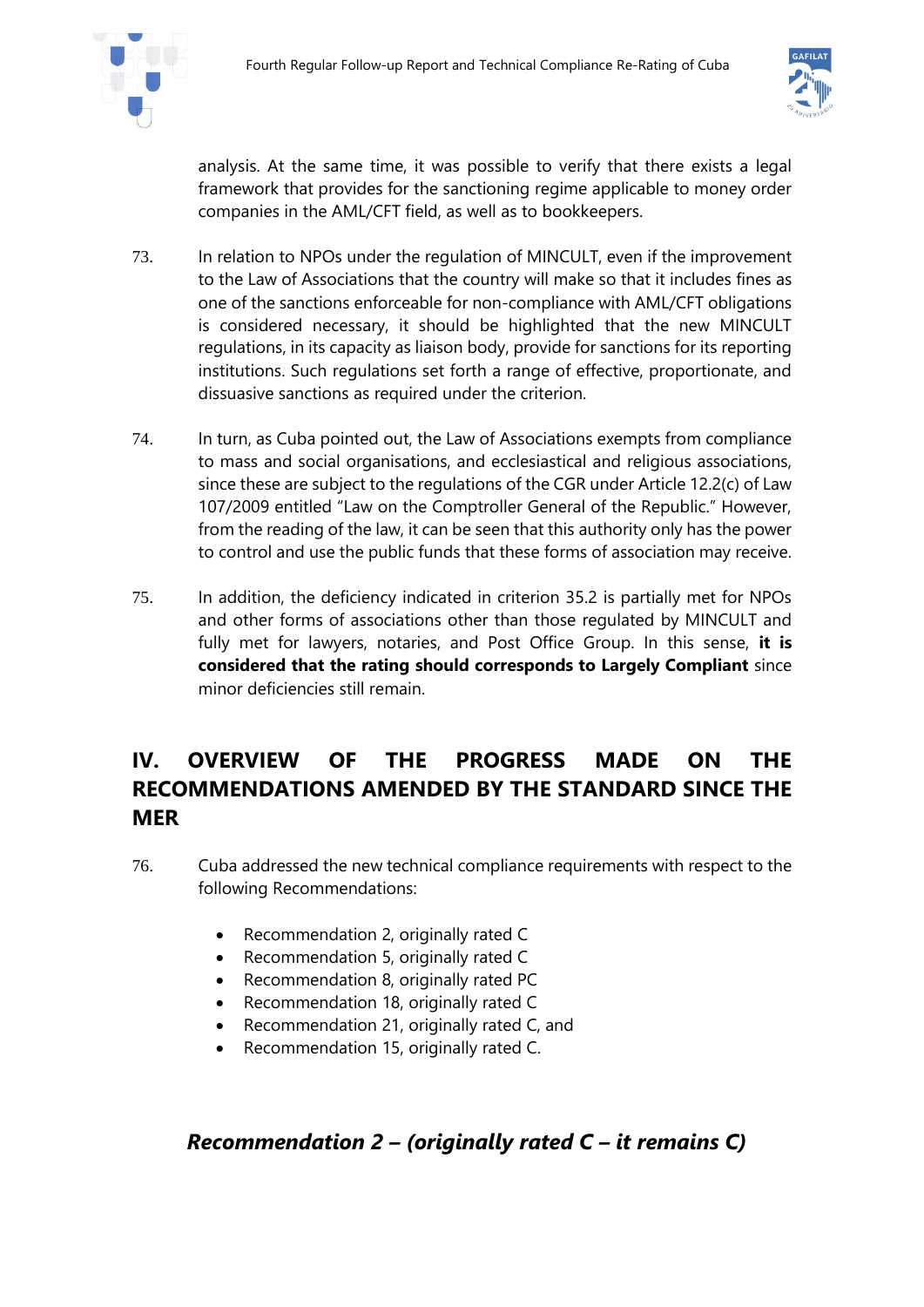



analysis. At the same time, it was possible to verify that there exists a legal framework that provides for the sanctioning regime applicable to money order companies in the AML/CFT field, as well as to bookkeepers.

- 73. In relation to NPOs under the regulation of MINCULT, even if the improvement to the Law of Associations that the country will make so that it includes fines as one of the sanctions enforceable for non-compliance with AML/CFT obligations is considered necessary, it should be highlighted that the new MINCULT regulations, in its capacity as liaison body, provide for sanctions for its reporting institutions. Such regulations set forth a range of effective, proportionate, and dissuasive sanctions as required under the criterion.
- 74. In turn, as Cuba pointed out, the Law of Associations exempts from compliance to mass and social organisations, and ecclesiastical and religious associations, since these are subject to the regulations of the CGR under Article 12.2(c) of Law 107/2009 entitled "Law on the Comptroller General of the Republic." However, from the reading of the law, it can be seen that this authority only has the power to control and use the public funds that these forms of association may receive.
- 75. In addition, the deficiency indicated in criterion 35.2 is partially met for NPOs and other forms of associations other than those regulated by MINCULT and fully met for lawyers, notaries, and Post Office Group. In this sense, **it is considered that the rating should corresponds to Largely Compliant** since minor deficiencies still remain.

# **IV. OVERVIEW OF THE PROGRESS MADE ON THE RECOMMENDATIONS AMENDED BY THE STANDARD SINCE THE MER**

- 76. Cuba addressed the new technical compliance requirements with respect to the following Recommendations:
	- Recommendation 2, originally rated C
	- Recommendation 5, originally rated C
	- Recommendation 8, originally rated PC
	- Recommendation 18, originally rated C
	- Recommendation 21, originally rated C, and
	- Recommendation 15, originally rated C.

### *Recommendation 2 – (originally rated C – it remains C)*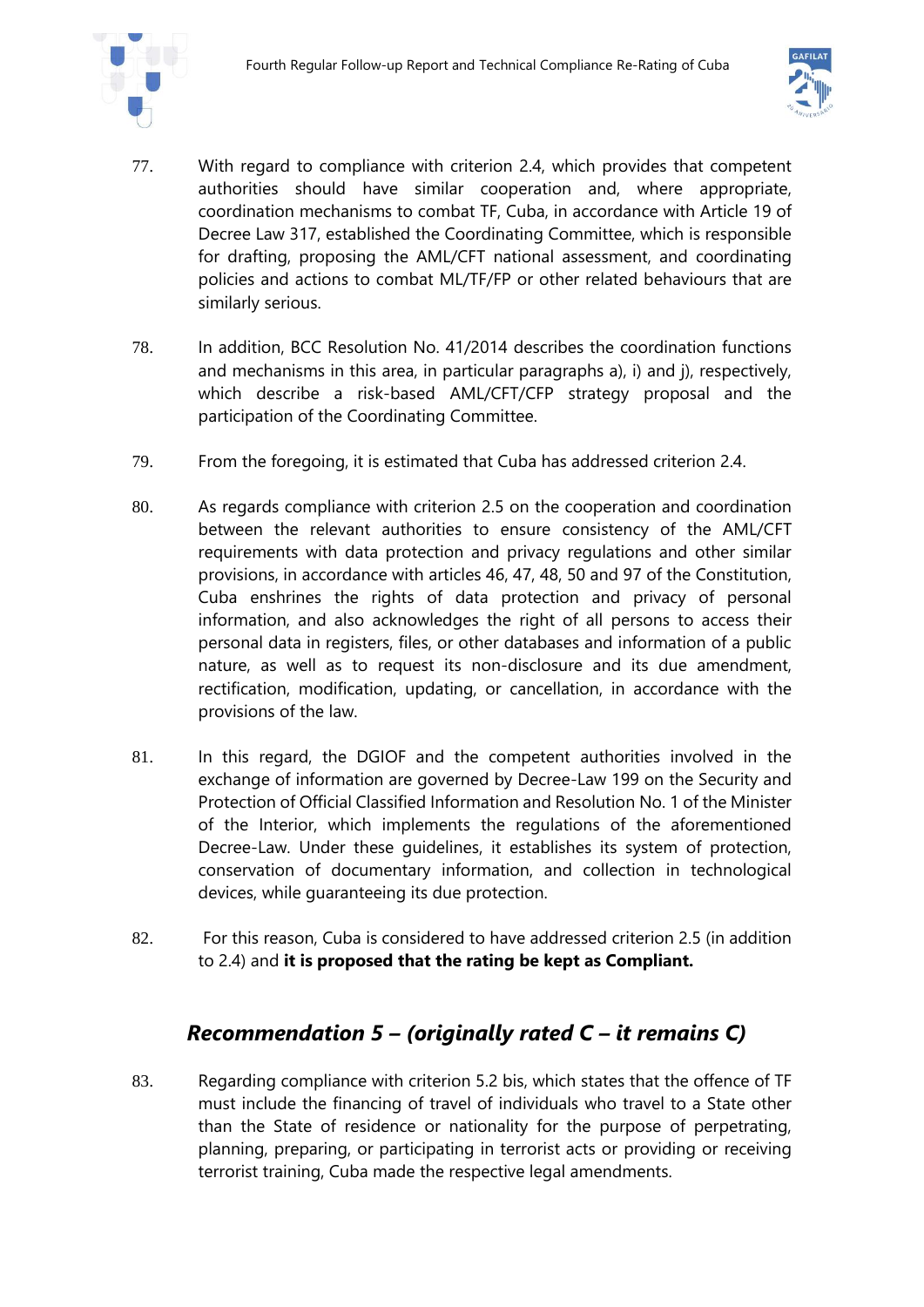



- 77. With regard to compliance with criterion 2.4, which provides that competent authorities should have similar cooperation and, where appropriate, coordination mechanisms to combat TF, Cuba, in accordance with Article 19 of Decree Law 317, established the Coordinating Committee, which is responsible for drafting, proposing the AML/CFT national assessment, and coordinating policies and actions to combat ML/TF/FP or other related behaviours that are similarly serious.
- 78. In addition, BCC Resolution No. 41/2014 describes the coordination functions and mechanisms in this area, in particular paragraphs a), i) and j), respectively, which describe a risk-based AML/CFT/CFP strategy proposal and the participation of the Coordinating Committee.
- 79. From the foregoing, it is estimated that Cuba has addressed criterion 2.4.
- 80. As regards compliance with criterion 2.5 on the cooperation and coordination between the relevant authorities to ensure consistency of the AML/CFT requirements with data protection and privacy regulations and other similar provisions, in accordance with articles 46, 47, 48, 50 and 97 of the Constitution, Cuba enshrines the rights of data protection and privacy of personal information, and also acknowledges the right of all persons to access their personal data in registers, files, or other databases and information of a public nature, as well as to request its non-disclosure and its due amendment, rectification, modification, updating, or cancellation, in accordance with the provisions of the law.
- 81. In this regard, the DGIOF and the competent authorities involved in the exchange of information are governed by Decree-Law 199 on the Security and Protection of Official Classified Information and Resolution No. 1 of the Minister of the Interior, which implements the regulations of the aforementioned Decree-Law. Under these guidelines, it establishes its system of protection, conservation of documentary information, and collection in technological devices, while guaranteeing its due protection.
- 82. For this reason, Cuba is considered to have addressed criterion 2.5 (in addition to 2.4) and **it is proposed that the rating be kept as Compliant.**

### *Recommendation 5 – (originally rated C – it remains C)*

83. Regarding compliance with criterion 5.2 bis, which states that the offence of TF must include the financing of travel of individuals who travel to a State other than the State of residence or nationality for the purpose of perpetrating, planning, preparing, or participating in terrorist acts or providing or receiving terrorist training, Cuba made the respective legal amendments.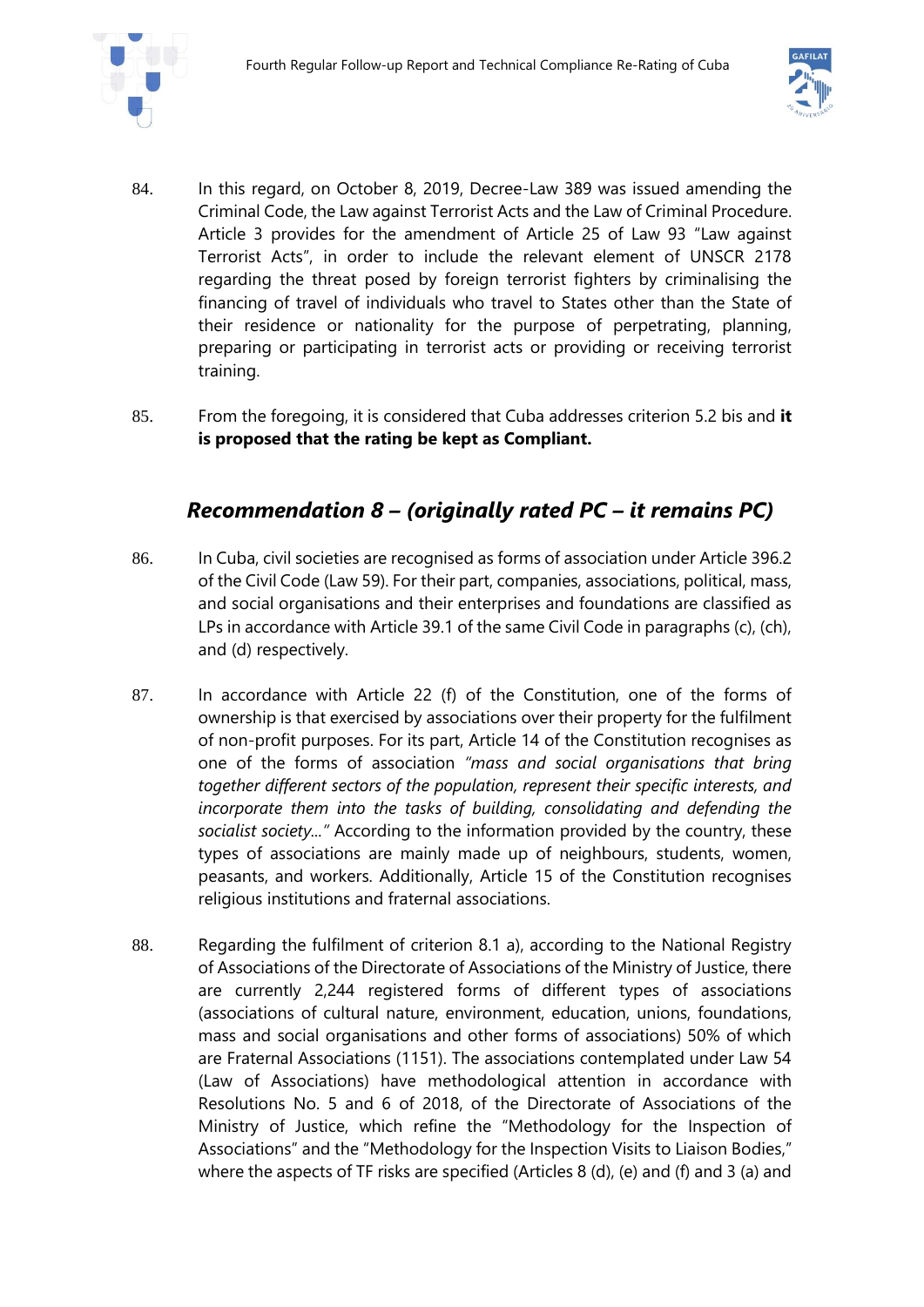



- 84. In this regard, on October 8, 2019, Decree-Law 389 was issued amending the Criminal Code, the Law against Terrorist Acts and the Law of Criminal Procedure. Article 3 provides for the amendment of Article 25 of Law 93 "Law against Terrorist Acts", in order to include the relevant element of UNSCR 2178 regarding the threat posed by foreign terrorist fighters by criminalising the financing of travel of individuals who travel to States other than the State of their residence or nationality for the purpose of perpetrating, planning, preparing or participating in terrorist acts or providing or receiving terrorist training.
- 85. From the foregoing, it is considered that Cuba addresses criterion 5.2 bis and **it is proposed that the rating be kept as Compliant.**

### *Recommendation 8 – (originally rated PC – it remains PC)*

- 86. In Cuba, civil societies are recognised as forms of association under Article 396.2 of the Civil Code (Law 59). For their part, companies, associations, political, mass, and social organisations and their enterprises and foundations are classified as LPs in accordance with Article 39.1 of the same Civil Code in paragraphs (c), (ch), and (d) respectively.
- 87. In accordance with Article 22 (f) of the Constitution, one of the forms of ownership is that exercised by associations over their property for the fulfilment of non-profit purposes. For its part, Article 14 of the Constitution recognises as one of the forms of association *"mass and social organisations that bring together different sectors of the population, represent their specific interests, and incorporate them into the tasks of building, consolidating and defending the socialist society..."* According to the information provided by the country, these types of associations are mainly made up of neighbours, students, women, peasants, and workers. Additionally, Article 15 of the Constitution recognises religious institutions and fraternal associations.
- 88. Regarding the fulfilment of criterion 8.1 a), according to the National Registry of Associations of the Directorate of Associations of the Ministry of Justice, there are currently 2,244 registered forms of different types of associations (associations of cultural nature, environment, education, unions, foundations, mass and social organisations and other forms of associations) 50% of which are Fraternal Associations (1151). The associations contemplated under Law 54 (Law of Associations) have methodological attention in accordance with Resolutions No. 5 and 6 of 2018, of the Directorate of Associations of the Ministry of Justice, which refine the "Methodology for the Inspection of Associations" and the "Methodology for the Inspection Visits to Liaison Bodies," where the aspects of TF risks are specified (Articles 8 (d), (e) and (f) and 3 (a) and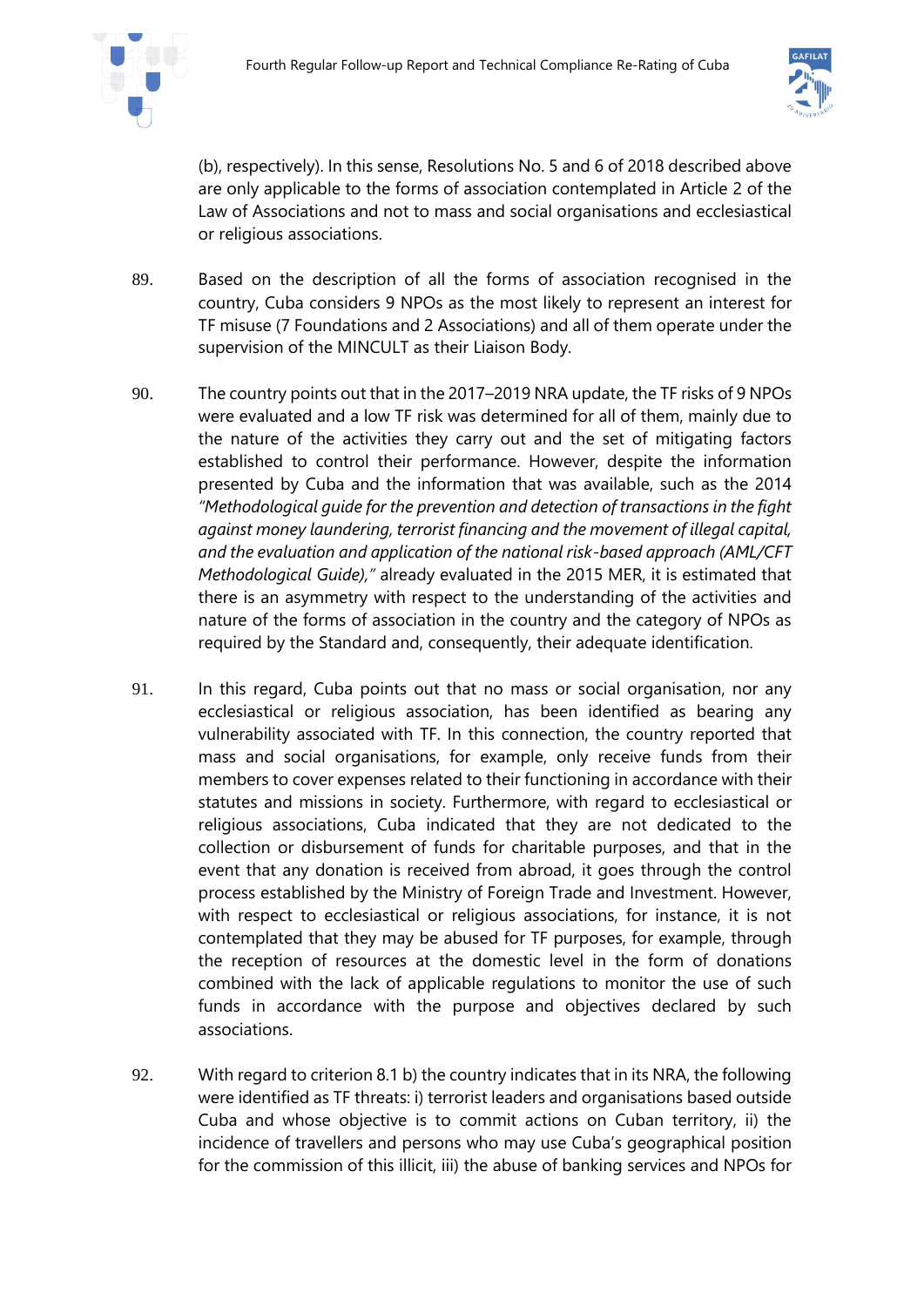



(b), respectively). In this sense, Resolutions No. 5 and 6 of 2018 described above are only applicable to the forms of association contemplated in Article 2 of the Law of Associations and not to mass and social organisations and ecclesiastical or religious associations.

- 89. Based on the description of all the forms of association recognised in the country, Cuba considers 9 NPOs as the most likely to represent an interest for TF misuse (7 Foundations and 2 Associations) and all of them operate under the supervision of the MINCULT as their Liaison Body.
- 90. The country points out that in the 2017–2019 NRA update, the TF risks of 9 NPOs were evaluated and a low TF risk was determined for all of them, mainly due to the nature of the activities they carry out and the set of mitigating factors established to control their performance. However, despite the information presented by Cuba and the information that was available, such as the 2014 *"Methodological guide for the prevention and detection of transactions in the fight against money laundering, terrorist financing and the movement of illegal capital, and the evaluation and application of the national risk-based approach (AML/CFT Methodological Guide),"* already evaluated in the 2015 MER, it is estimated that there is an asymmetry with respect to the understanding of the activities and nature of the forms of association in the country and the category of NPOs as required by the Standard and, consequently, their adequate identification.
- 91. In this regard, Cuba points out that no mass or social organisation, nor any ecclesiastical or religious association, has been identified as bearing any vulnerability associated with TF. In this connection, the country reported that mass and social organisations, for example, only receive funds from their members to cover expenses related to their functioning in accordance with their statutes and missions in society. Furthermore, with regard to ecclesiastical or religious associations, Cuba indicated that they are not dedicated to the collection or disbursement of funds for charitable purposes, and that in the event that any donation is received from abroad, it goes through the control process established by the Ministry of Foreign Trade and Investment. However, with respect to ecclesiastical or religious associations, for instance, it is not contemplated that they may be abused for TF purposes, for example, through the reception of resources at the domestic level in the form of donations combined with the lack of applicable regulations to monitor the use of such funds in accordance with the purpose and objectives declared by such associations.
- 92. With regard to criterion 8.1 b) the country indicates that in its NRA, the following were identified as TF threats: i) terrorist leaders and organisations based outside Cuba and whose objective is to commit actions on Cuban territory, ii) the incidence of travellers and persons who may use Cuba's geographical position for the commission of this illicit, iii) the abuse of banking services and NPOs for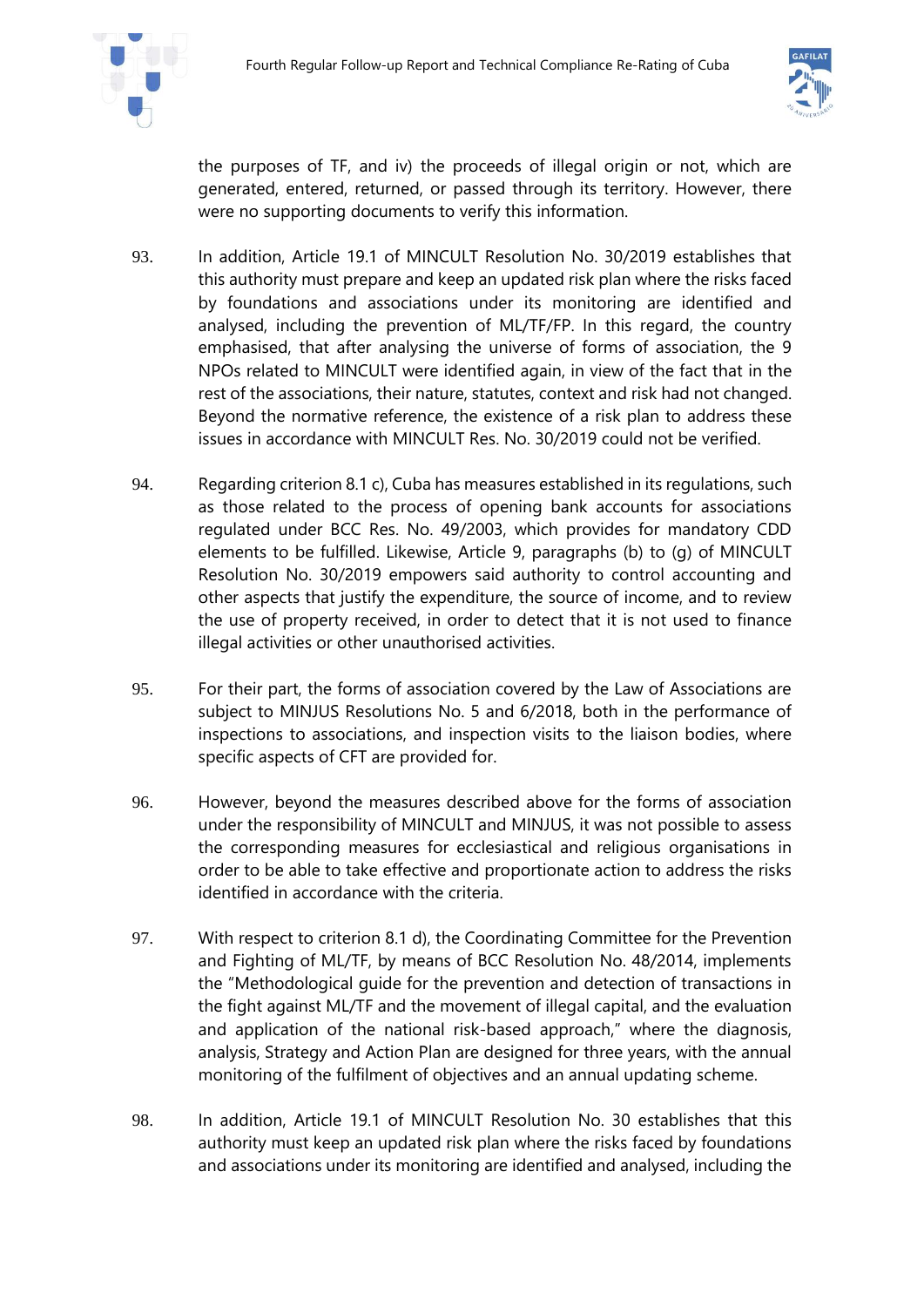

the purposes of TF, and iv) the proceeds of illegal origin or not, which are generated, entered, returned, or passed through its territory. However, there were no supporting documents to verify this information.

- 93. In addition, Article 19.1 of MINCULT Resolution No. 30/2019 establishes that this authority must prepare and keep an updated risk plan where the risks faced by foundations and associations under its monitoring are identified and analysed, including the prevention of ML/TF/FP. In this regard, the country emphasised, that after analysing the universe of forms of association, the 9 NPOs related to MINCULT were identified again, in view of the fact that in the rest of the associations, their nature, statutes, context and risk had not changed. Beyond the normative reference, the existence of a risk plan to address these issues in accordance with MINCULT Res. No. 30/2019 could not be verified.
- 94. Regarding criterion 8.1 c), Cuba has measures established in its regulations, such as those related to the process of opening bank accounts for associations regulated under BCC Res. No. 49/2003, which provides for mandatory CDD elements to be fulfilled. Likewise, Article 9, paragraphs (b) to (g) of MINCULT Resolution No. 30/2019 empowers said authority to control accounting and other aspects that justify the expenditure, the source of income, and to review the use of property received, in order to detect that it is not used to finance illegal activities or other unauthorised activities.
- 95. For their part, the forms of association covered by the Law of Associations are subject to MINJUS Resolutions No. 5 and 6/2018, both in the performance of inspections to associations, and inspection visits to the liaison bodies, where specific aspects of CFT are provided for.
- 96. However, beyond the measures described above for the forms of association under the responsibility of MINCULT and MINJUS, it was not possible to assess the corresponding measures for ecclesiastical and religious organisations in order to be able to take effective and proportionate action to address the risks identified in accordance with the criteria.
- 97. With respect to criterion 8.1 d), the Coordinating Committee for the Prevention and Fighting of ML/TF, by means of BCC Resolution No. 48/2014, implements the "Methodological guide for the prevention and detection of transactions in the fight against ML/TF and the movement of illegal capital, and the evaluation and application of the national risk-based approach," where the diagnosis, analysis, Strategy and Action Plan are designed for three years, with the annual monitoring of the fulfilment of objectives and an annual updating scheme.
- 98. In addition, Article 19.1 of MINCULT Resolution No. 30 establishes that this authority must keep an updated risk plan where the risks faced by foundations and associations under its monitoring are identified and analysed, including the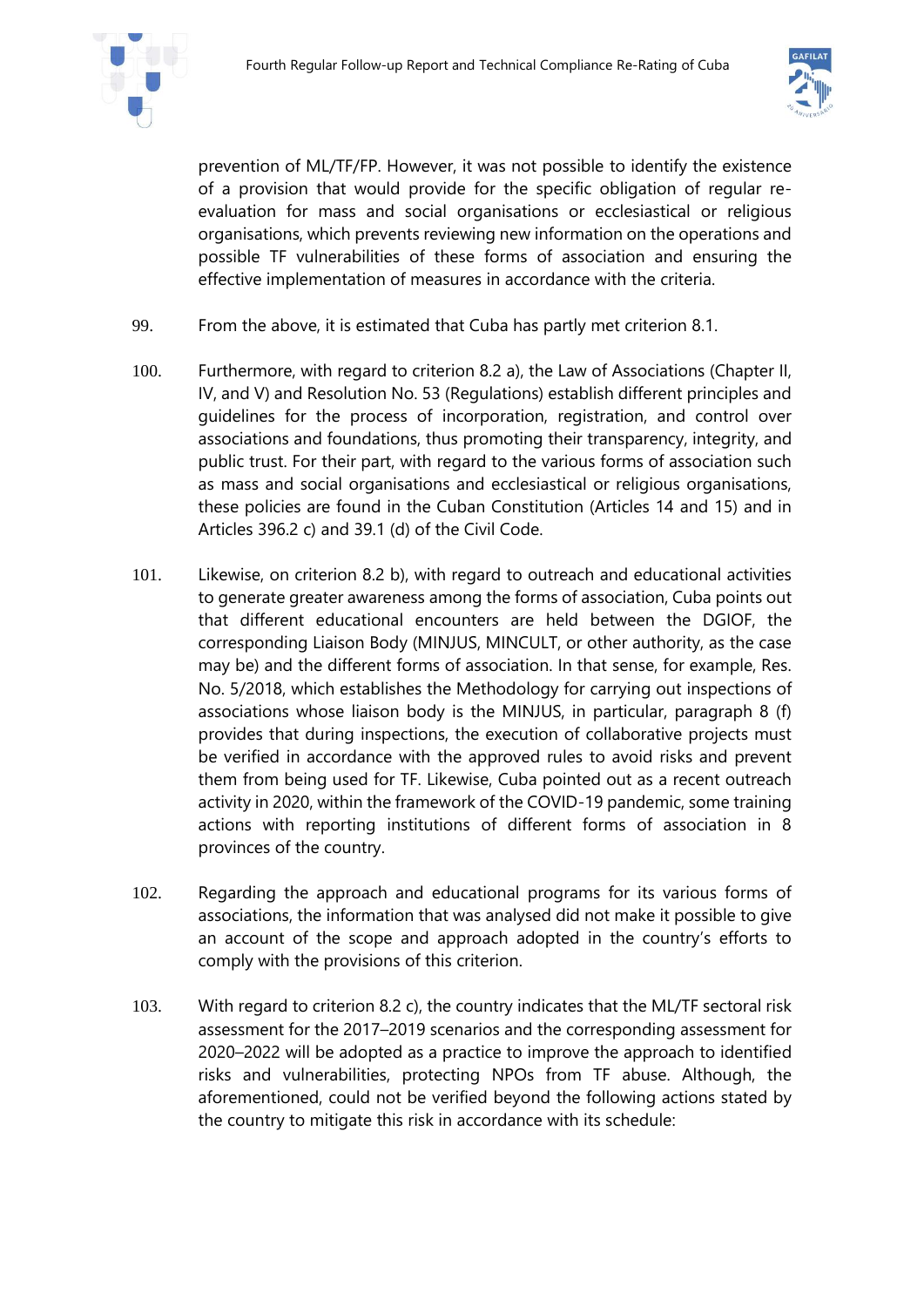



prevention of ML/TF/FP. However, it was not possible to identify the existence of a provision that would provide for the specific obligation of regular reevaluation for mass and social organisations or ecclesiastical or religious organisations, which prevents reviewing new information on the operations and possible TF vulnerabilities of these forms of association and ensuring the effective implementation of measures in accordance with the criteria.

- 99. From the above, it is estimated that Cuba has partly met criterion 8.1.
- 100. Furthermore, with regard to criterion 8.2 a), the Law of Associations (Chapter II, IV, and V) and Resolution No. 53 (Regulations) establish different principles and guidelines for the process of incorporation, registration, and control over associations and foundations, thus promoting their transparency, integrity, and public trust. For their part, with regard to the various forms of association such as mass and social organisations and ecclesiastical or religious organisations, these policies are found in the Cuban Constitution (Articles 14 and 15) and in Articles 396.2 c) and 39.1 (d) of the Civil Code.
- 101. Likewise, on criterion 8.2 b), with regard to outreach and educational activities to generate greater awareness among the forms of association, Cuba points out that different educational encounters are held between the DGIOF, the corresponding Liaison Body (MINJUS, MINCULT, or other authority, as the case may be) and the different forms of association. In that sense, for example, Res. No. 5/2018, which establishes the Methodology for carrying out inspections of associations whose liaison body is the MINJUS, in particular, paragraph 8 (f) provides that during inspections, the execution of collaborative projects must be verified in accordance with the approved rules to avoid risks and prevent them from being used for TF. Likewise, Cuba pointed out as a recent outreach activity in 2020, within the framework of the COVID-19 pandemic, some training actions with reporting institutions of different forms of association in 8 provinces of the country.
- 102. Regarding the approach and educational programs for its various forms of associations, the information that was analysed did not make it possible to give an account of the scope and approach adopted in the country's efforts to comply with the provisions of this criterion.
- 103. With regard to criterion 8.2 c), the country indicates that the ML/TF sectoral risk assessment for the 2017–2019 scenarios and the corresponding assessment for 2020–2022 will be adopted as a practice to improve the approach to identified risks and vulnerabilities, protecting NPOs from TF abuse. Although, the aforementioned, could not be verified beyond the following actions stated by the country to mitigate this risk in accordance with its schedule: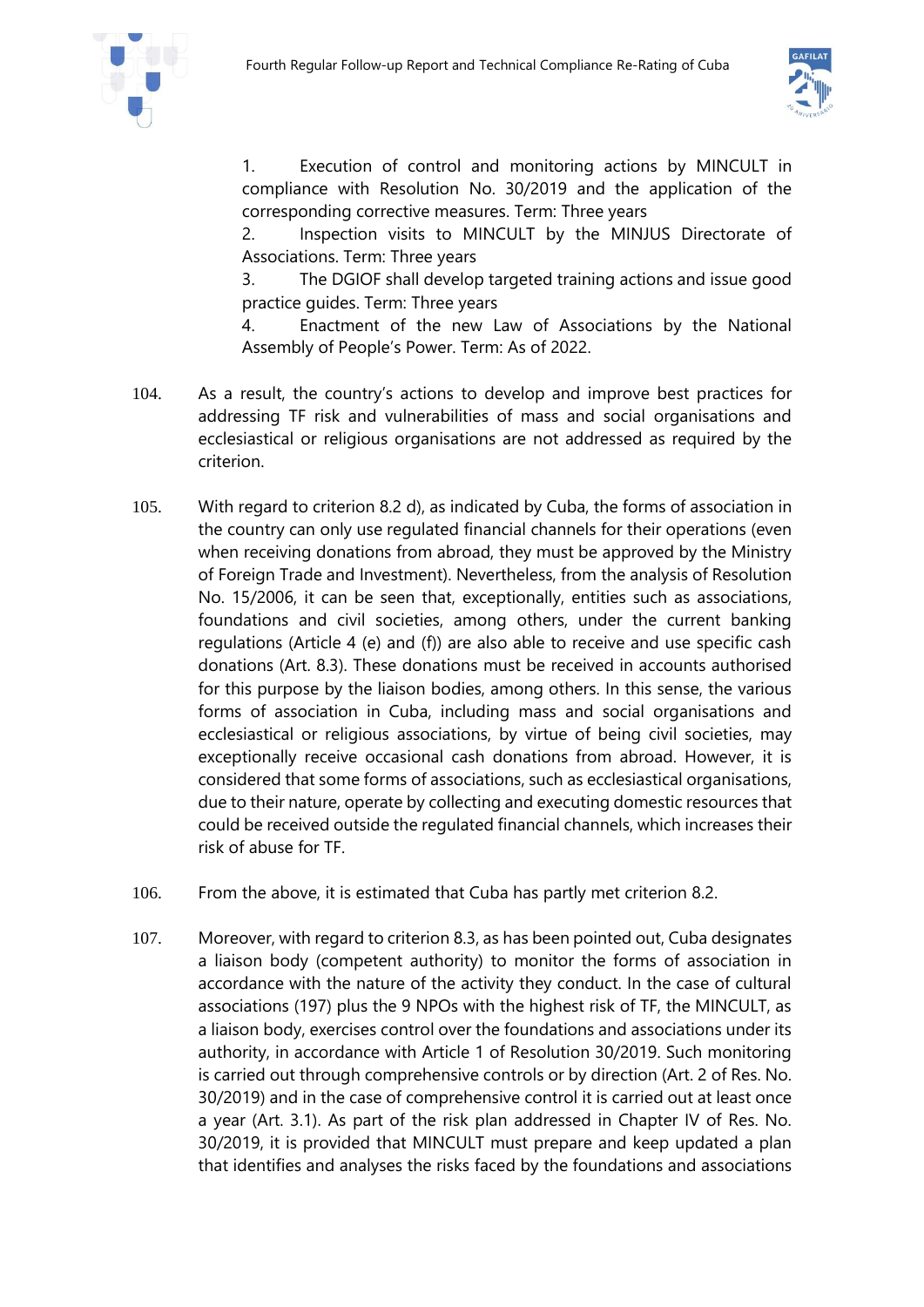

1. Execution of control and monitoring actions by MINCULT in compliance with Resolution No. 30/2019 and the application of the corresponding corrective measures. Term: Three years

2. Inspection visits to MINCULT by the MINJUS Directorate of Associations. Term: Three years

3. The DGIOF shall develop targeted training actions and issue good practice guides. Term: Three years

4. Enactment of the new Law of Associations by the National Assembly of People's Power. Term: As of 2022.

- 104. As a result, the country's actions to develop and improve best practices for addressing TF risk and vulnerabilities of mass and social organisations and ecclesiastical or religious organisations are not addressed as required by the criterion.
- 105. With regard to criterion 8.2 d), as indicated by Cuba, the forms of association in the country can only use regulated financial channels for their operations (even when receiving donations from abroad, they must be approved by the Ministry of Foreign Trade and Investment). Nevertheless, from the analysis of Resolution No. 15/2006, it can be seen that, exceptionally, entities such as associations, foundations and civil societies, among others, under the current banking regulations (Article 4 (e) and (f)) are also able to receive and use specific cash donations (Art. 8.3). These donations must be received in accounts authorised for this purpose by the liaison bodies, among others. In this sense, the various forms of association in Cuba, including mass and social organisations and ecclesiastical or religious associations, by virtue of being civil societies, may exceptionally receive occasional cash donations from abroad. However, it is considered that some forms of associations, such as ecclesiastical organisations, due to their nature, operate by collecting and executing domestic resources that could be received outside the regulated financial channels, which increases their risk of abuse for TF.
- 106. From the above, it is estimated that Cuba has partly met criterion 8.2.
- 107. Moreover, with regard to criterion 8.3, as has been pointed out, Cuba designates a liaison body (competent authority) to monitor the forms of association in accordance with the nature of the activity they conduct. In the case of cultural associations (197) plus the 9 NPOs with the highest risk of TF, the MINCULT, as a liaison body, exercises control over the foundations and associations under its authority, in accordance with Article 1 of Resolution 30/2019. Such monitoring is carried out through comprehensive controls or by direction (Art. 2 of Res. No. 30/2019) and in the case of comprehensive control it is carried out at least once a year (Art. 3.1). As part of the risk plan addressed in Chapter IV of Res. No. 30/2019, it is provided that MINCULT must prepare and keep updated a plan that identifies and analyses the risks faced by the foundations and associations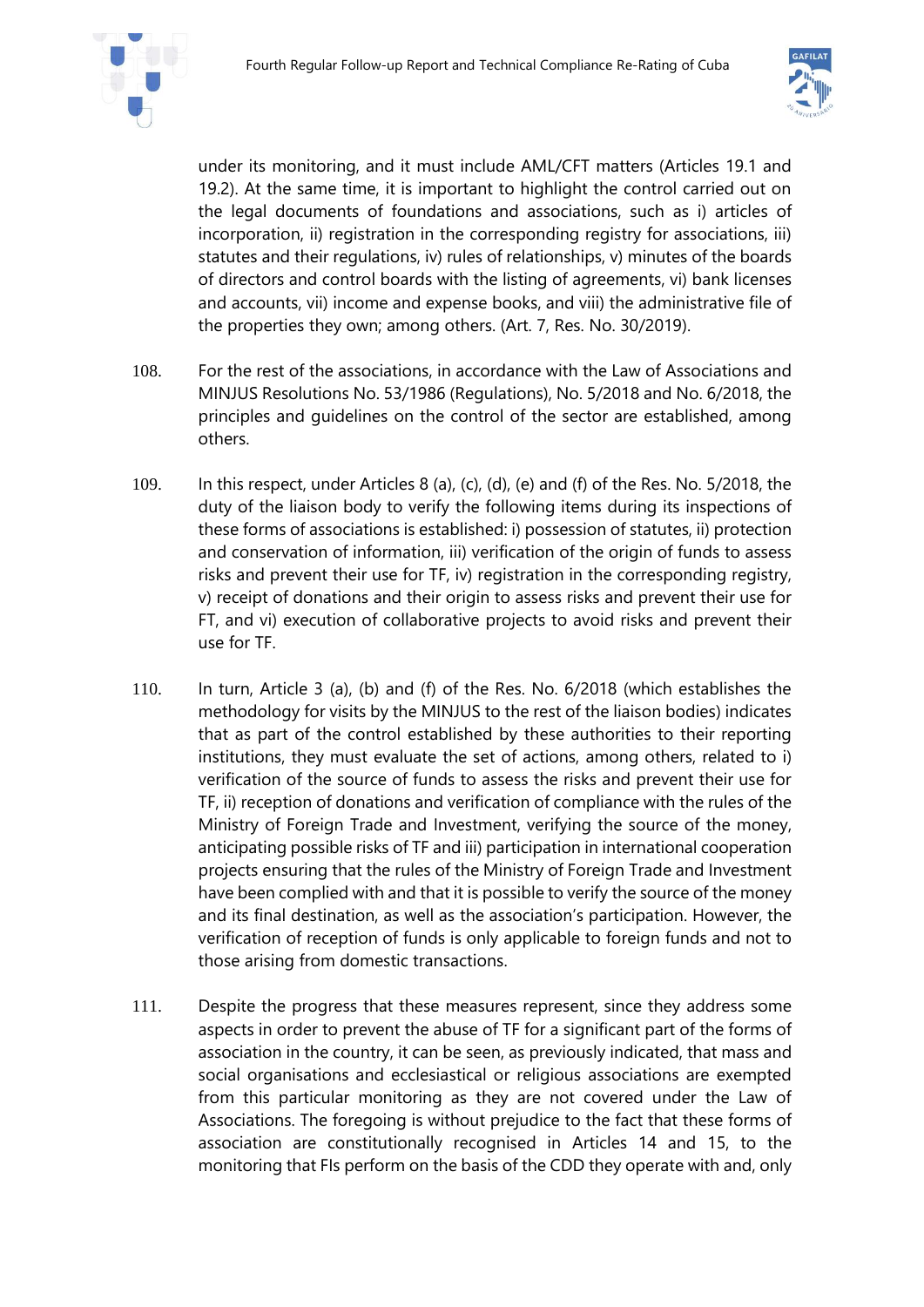



under its monitoring, and it must include AML/CFT matters (Articles 19.1 and 19.2). At the same time, it is important to highlight the control carried out on the legal documents of foundations and associations, such as i) articles of incorporation, ii) registration in the corresponding registry for associations, iii) statutes and their regulations, iv) rules of relationships, v) minutes of the boards of directors and control boards with the listing of agreements, vi) bank licenses and accounts, vii) income and expense books, and viii) the administrative file of the properties they own; among others. (Art. 7, Res. No. 30/2019).

- 108. For the rest of the associations, in accordance with the Law of Associations and MINJUS Resolutions No. 53/1986 (Regulations), No. 5/2018 and No. 6/2018, the principles and guidelines on the control of the sector are established, among others.
- 109. In this respect, under Articles 8 (a), (c), (d), (e) and (f) of the Res. No. 5/2018, the duty of the liaison body to verify the following items during its inspections of these forms of associations is established: i) possession of statutes, ii) protection and conservation of information, iii) verification of the origin of funds to assess risks and prevent their use for TF, iv) registration in the corresponding registry, v) receipt of donations and their origin to assess risks and prevent their use for FT, and vi) execution of collaborative projects to avoid risks and prevent their use for TF.
- 110. In turn, Article 3 (a), (b) and (f) of the Res. No. 6/2018 (which establishes the methodology for visits by the MINJUS to the rest of the liaison bodies) indicates that as part of the control established by these authorities to their reporting institutions, they must evaluate the set of actions, among others, related to i) verification of the source of funds to assess the risks and prevent their use for TF, ii) reception of donations and verification of compliance with the rules of the Ministry of Foreign Trade and Investment, verifying the source of the money, anticipating possible risks of TF and iii) participation in international cooperation projects ensuring that the rules of the Ministry of Foreign Trade and Investment have been complied with and that it is possible to verify the source of the money and its final destination, as well as the association's participation. However, the verification of reception of funds is only applicable to foreign funds and not to those arising from domestic transactions.
- 111. Despite the progress that these measures represent, since they address some aspects in order to prevent the abuse of TF for a significant part of the forms of association in the country, it can be seen, as previously indicated, that mass and social organisations and ecclesiastical or religious associations are exempted from this particular monitoring as they are not covered under the Law of Associations. The foregoing is without prejudice to the fact that these forms of association are constitutionally recognised in Articles 14 and 15, to the monitoring that FIs perform on the basis of the CDD they operate with and, only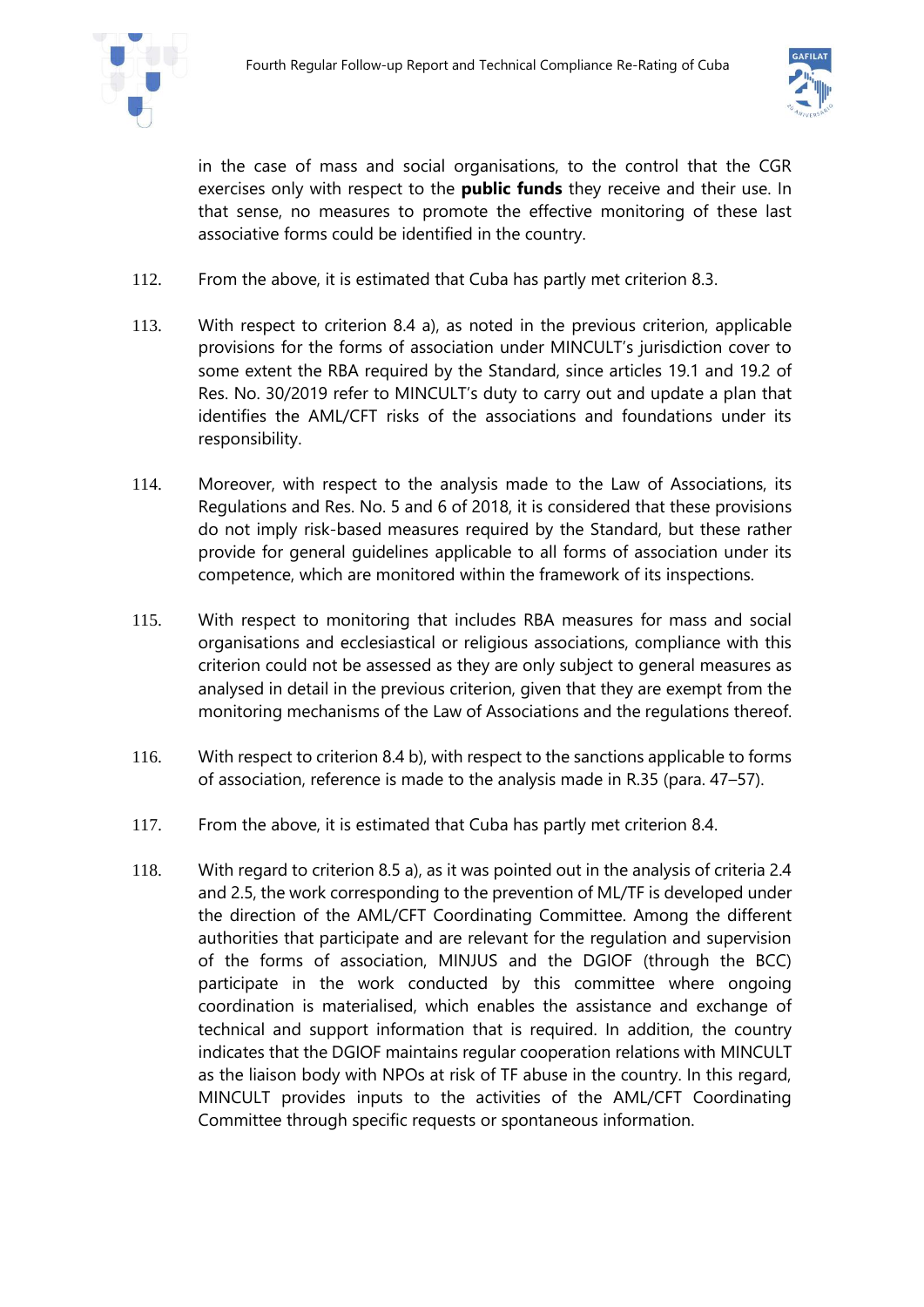



in the case of mass and social organisations, to the control that the CGR exercises only with respect to the **public funds** they receive and their use. In that sense, no measures to promote the effective monitoring of these last associative forms could be identified in the country.

- 112. From the above, it is estimated that Cuba has partly met criterion 8.3.
- 113. With respect to criterion 8.4 a), as noted in the previous criterion, applicable provisions for the forms of association under MINCULT's jurisdiction cover to some extent the RBA required by the Standard, since articles 19.1 and 19.2 of Res. No. 30/2019 refer to MINCULT's duty to carry out and update a plan that identifies the AML/CFT risks of the associations and foundations under its responsibility.
- 114. Moreover, with respect to the analysis made to the Law of Associations, its Regulations and Res. No. 5 and 6 of 2018, it is considered that these provisions do not imply risk-based measures required by the Standard, but these rather provide for general guidelines applicable to all forms of association under its competence, which are monitored within the framework of its inspections.
- 115. With respect to monitoring that includes RBA measures for mass and social organisations and ecclesiastical or religious associations, compliance with this criterion could not be assessed as they are only subject to general measures as analysed in detail in the previous criterion, given that they are exempt from the monitoring mechanisms of the Law of Associations and the regulations thereof.
- 116. With respect to criterion 8.4 b), with respect to the sanctions applicable to forms of association, reference is made to the analysis made in R.35 (para. 47–57).
- 117. From the above, it is estimated that Cuba has partly met criterion 8.4.
- 118. With regard to criterion 8.5 a), as it was pointed out in the analysis of criteria 2.4 and 2.5, the work corresponding to the prevention of ML/TF is developed under the direction of the AML/CFT Coordinating Committee. Among the different authorities that participate and are relevant for the regulation and supervision of the forms of association, MINJUS and the DGIOF (through the BCC) participate in the work conducted by this committee where ongoing coordination is materialised, which enables the assistance and exchange of technical and support information that is required. In addition, the country indicates that the DGIOF maintains regular cooperation relations with MINCULT as the liaison body with NPOs at risk of TF abuse in the country. In this regard, MINCULT provides inputs to the activities of the AML/CFT Coordinating Committee through specific requests or spontaneous information.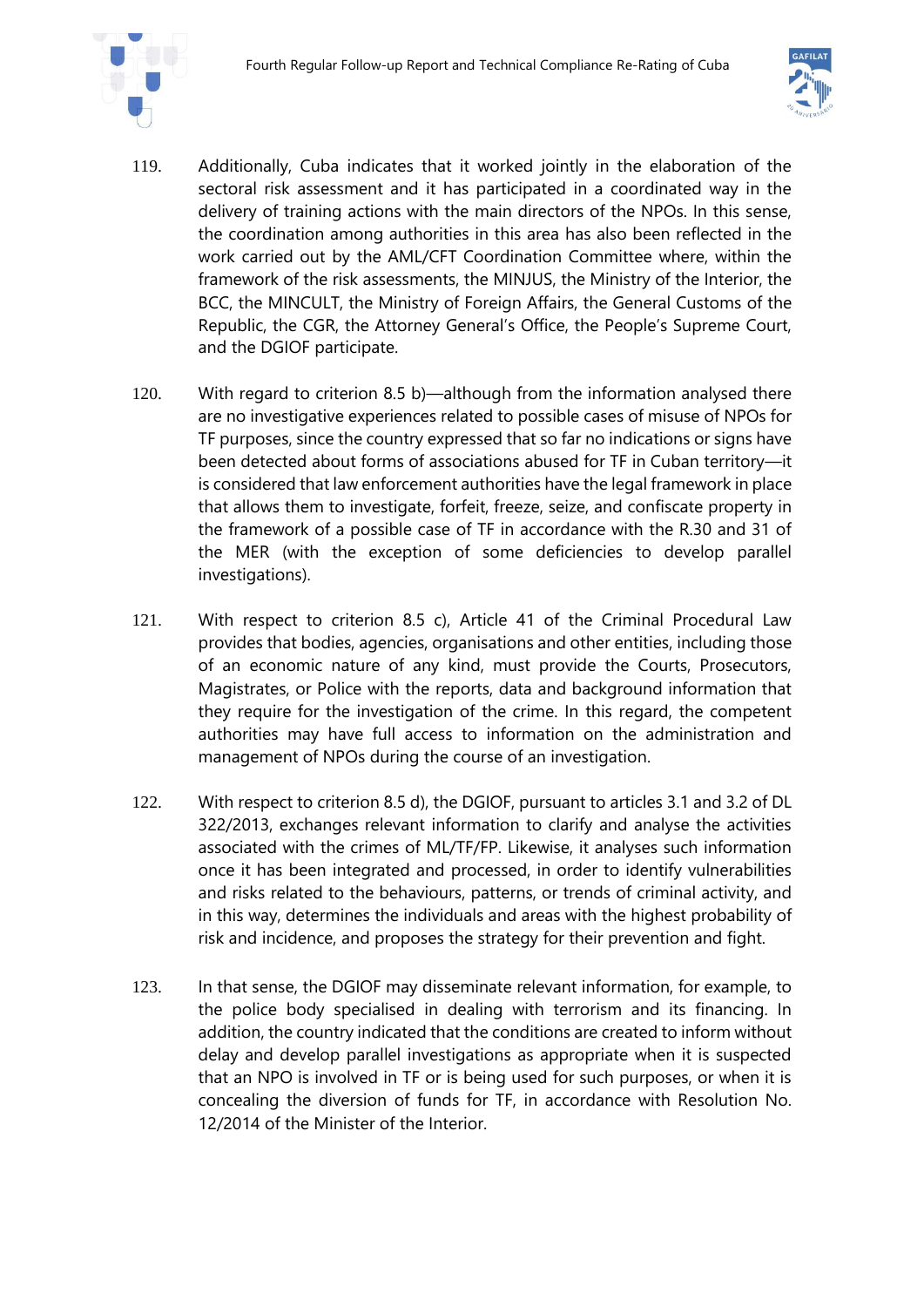



- 119. Additionally, Cuba indicates that it worked jointly in the elaboration of the sectoral risk assessment and it has participated in a coordinated way in the delivery of training actions with the main directors of the NPOs. In this sense, the coordination among authorities in this area has also been reflected in the work carried out by the AML/CFT Coordination Committee where, within the framework of the risk assessments, the MINJUS, the Ministry of the Interior, the BCC, the MINCULT, the Ministry of Foreign Affairs, the General Customs of the Republic, the CGR, the Attorney General's Office, the People's Supreme Court, and the DGIOF participate.
- 120. With regard to criterion 8.5 b)—although from the information analysed there are no investigative experiences related to possible cases of misuse of NPOs for TF purposes, since the country expressed that so far no indications or signs have been detected about forms of associations abused for TF in Cuban territory—it is considered that law enforcement authorities have the legal framework in place that allows them to investigate, forfeit, freeze, seize, and confiscate property in the framework of a possible case of TF in accordance with the R.30 and 31 of the MER (with the exception of some deficiencies to develop parallel investigations).
- 121. With respect to criterion 8.5 c), Article 41 of the Criminal Procedural Law provides that bodies, agencies, organisations and other entities, including those of an economic nature of any kind, must provide the Courts, Prosecutors, Magistrates, or Police with the reports, data and background information that they require for the investigation of the crime. In this regard, the competent authorities may have full access to information on the administration and management of NPOs during the course of an investigation.
- 122. With respect to criterion 8.5 d), the DGIOF, pursuant to articles 3.1 and 3.2 of DL 322/2013, exchanges relevant information to clarify and analyse the activities associated with the crimes of ML/TF/FP. Likewise, it analyses such information once it has been integrated and processed, in order to identify vulnerabilities and risks related to the behaviours, patterns, or trends of criminal activity, and in this way, determines the individuals and areas with the highest probability of risk and incidence, and proposes the strategy for their prevention and fight.
- 123. In that sense, the DGIOF may disseminate relevant information, for example, to the police body specialised in dealing with terrorism and its financing. In addition, the country indicated that the conditions are created to inform without delay and develop parallel investigations as appropriate when it is suspected that an NPO is involved in TF or is being used for such purposes, or when it is concealing the diversion of funds for TF, in accordance with Resolution No. 12/2014 of the Minister of the Interior.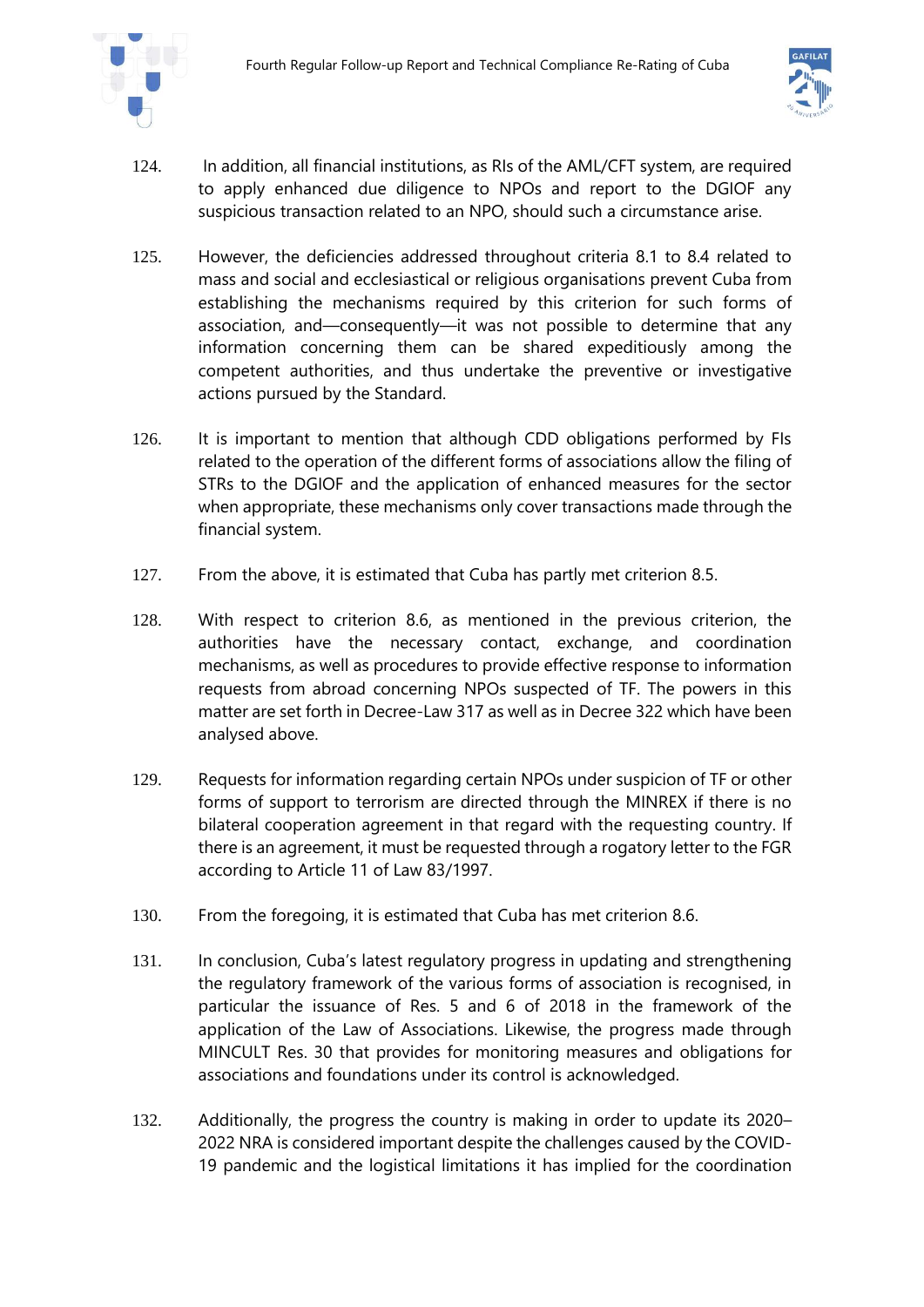



- 124. In addition, all financial institutions, as RIs of the AML/CFT system, are required to apply enhanced due diligence to NPOs and report to the DGIOF any suspicious transaction related to an NPO, should such a circumstance arise.
- 125. However, the deficiencies addressed throughout criteria 8.1 to 8.4 related to mass and social and ecclesiastical or religious organisations prevent Cuba from establishing the mechanisms required by this criterion for such forms of association, and—consequently—it was not possible to determine that any information concerning them can be shared expeditiously among the competent authorities, and thus undertake the preventive or investigative actions pursued by the Standard.
- 126. It is important to mention that although CDD obligations performed by FIs related to the operation of the different forms of associations allow the filing of STRs to the DGIOF and the application of enhanced measures for the sector when appropriate, these mechanisms only cover transactions made through the financial system.
- 127. From the above, it is estimated that Cuba has partly met criterion 8.5.
- 128. With respect to criterion 8.6, as mentioned in the previous criterion, the authorities have the necessary contact, exchange, and coordination mechanisms, as well as procedures to provide effective response to information requests from abroad concerning NPOs suspected of TF. The powers in this matter are set forth in Decree-Law 317 as well as in Decree 322 which have been analysed above.
- 129. Requests for information regarding certain NPOs under suspicion of TF or other forms of support to terrorism are directed through the MINREX if there is no bilateral cooperation agreement in that regard with the requesting country. If there is an agreement, it must be requested through a rogatory letter to the FGR according to Article 11 of Law 83/1997.
- 130. From the foregoing, it is estimated that Cuba has met criterion 8.6.
- 131. In conclusion, Cuba's latest regulatory progress in updating and strengthening the regulatory framework of the various forms of association is recognised, in particular the issuance of Res. 5 and 6 of 2018 in the framework of the application of the Law of Associations. Likewise, the progress made through MINCULT Res. 30 that provides for monitoring measures and obligations for associations and foundations under its control is acknowledged.
- 132. Additionally, the progress the country is making in order to update its 2020– 2022 NRA is considered important despite the challenges caused by the COVID-19 pandemic and the logistical limitations it has implied for the coordination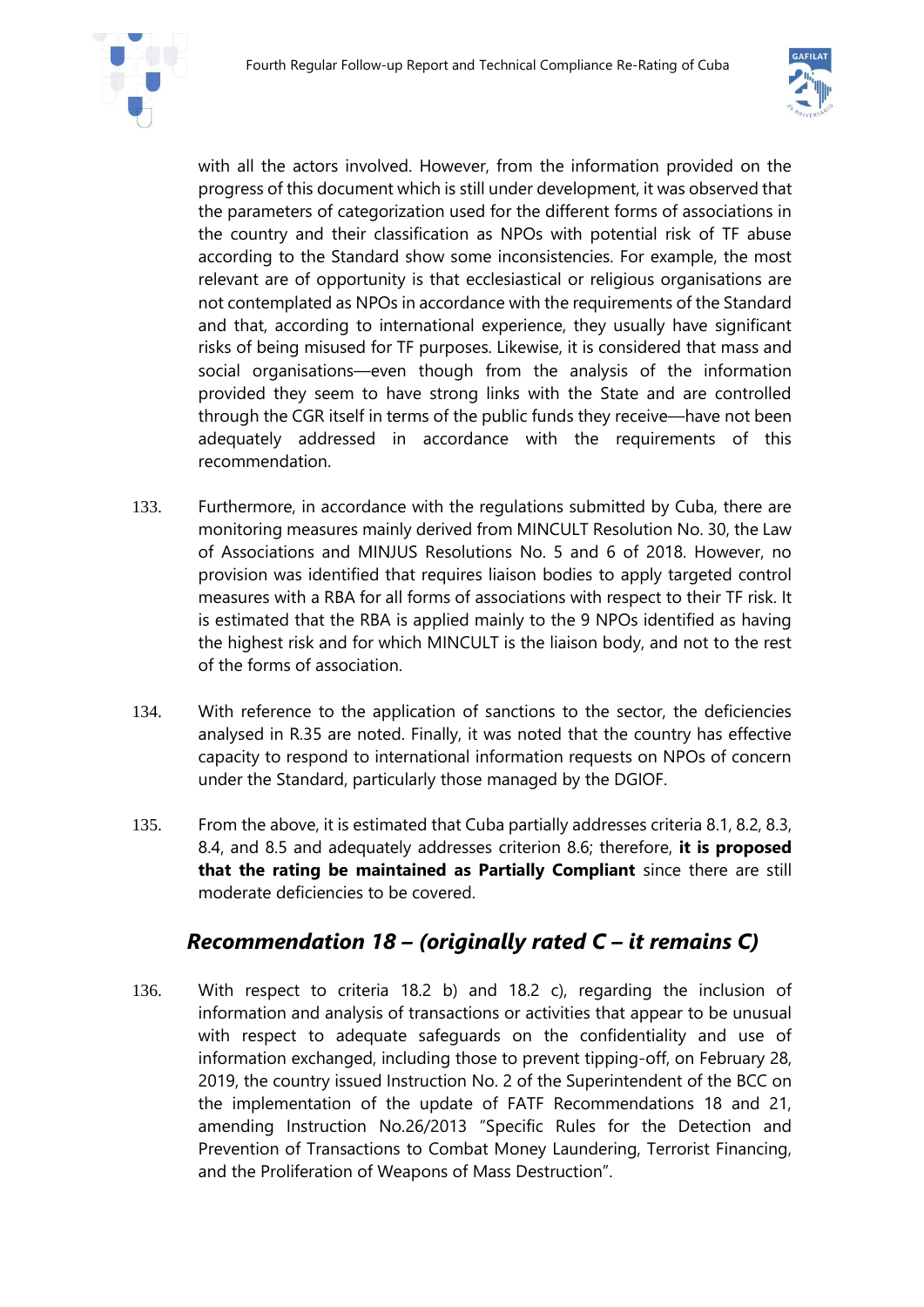



with all the actors involved. However, from the information provided on the progress of this document which is still under development, it was observed that the parameters of categorization used for the different forms of associations in the country and their classification as NPOs with potential risk of TF abuse according to the Standard show some inconsistencies. For example, the most relevant are of opportunity is that ecclesiastical or religious organisations are not contemplated as NPOs in accordance with the requirements of the Standard and that, according to international experience, they usually have significant risks of being misused for TF purposes. Likewise, it is considered that mass and social organisations—even though from the analysis of the information provided they seem to have strong links with the State and are controlled through the CGR itself in terms of the public funds they receive—have not been adequately addressed in accordance with the requirements of this recommendation.

- 133. Furthermore, in accordance with the regulations submitted by Cuba, there are monitoring measures mainly derived from MINCULT Resolution No. 30, the Law of Associations and MINJUS Resolutions No. 5 and 6 of 2018. However, no provision was identified that requires liaison bodies to apply targeted control measures with a RBA for all forms of associations with respect to their TF risk. It is estimated that the RBA is applied mainly to the 9 NPOs identified as having the highest risk and for which MINCULT is the liaison body, and not to the rest of the forms of association.
- 134. With reference to the application of sanctions to the sector, the deficiencies analysed in R.35 are noted. Finally, it was noted that the country has effective capacity to respond to international information requests on NPOs of concern under the Standard, particularly those managed by the DGIOF.
- 135. From the above, it is estimated that Cuba partially addresses criteria 8.1, 8.2, 8.3, 8.4, and 8.5 and adequately addresses criterion 8.6; therefore, **it is proposed that the rating be maintained as Partially Compliant** since there are still moderate deficiencies to be covered.

### *Recommendation 18 – (originally rated C – it remains C)*

136. With respect to criteria 18.2 b) and 18.2 c), regarding the inclusion of information and analysis of transactions or activities that appear to be unusual with respect to adequate safeguards on the confidentiality and use of information exchanged, including those to prevent tipping-off, on February 28, 2019, the country issued Instruction No. 2 of the Superintendent of the BCC on the implementation of the update of FATF Recommendations 18 and 21, amending Instruction No.26/2013 "Specific Rules for the Detection and Prevention of Transactions to Combat Money Laundering, Terrorist Financing, and the Proliferation of Weapons of Mass Destruction".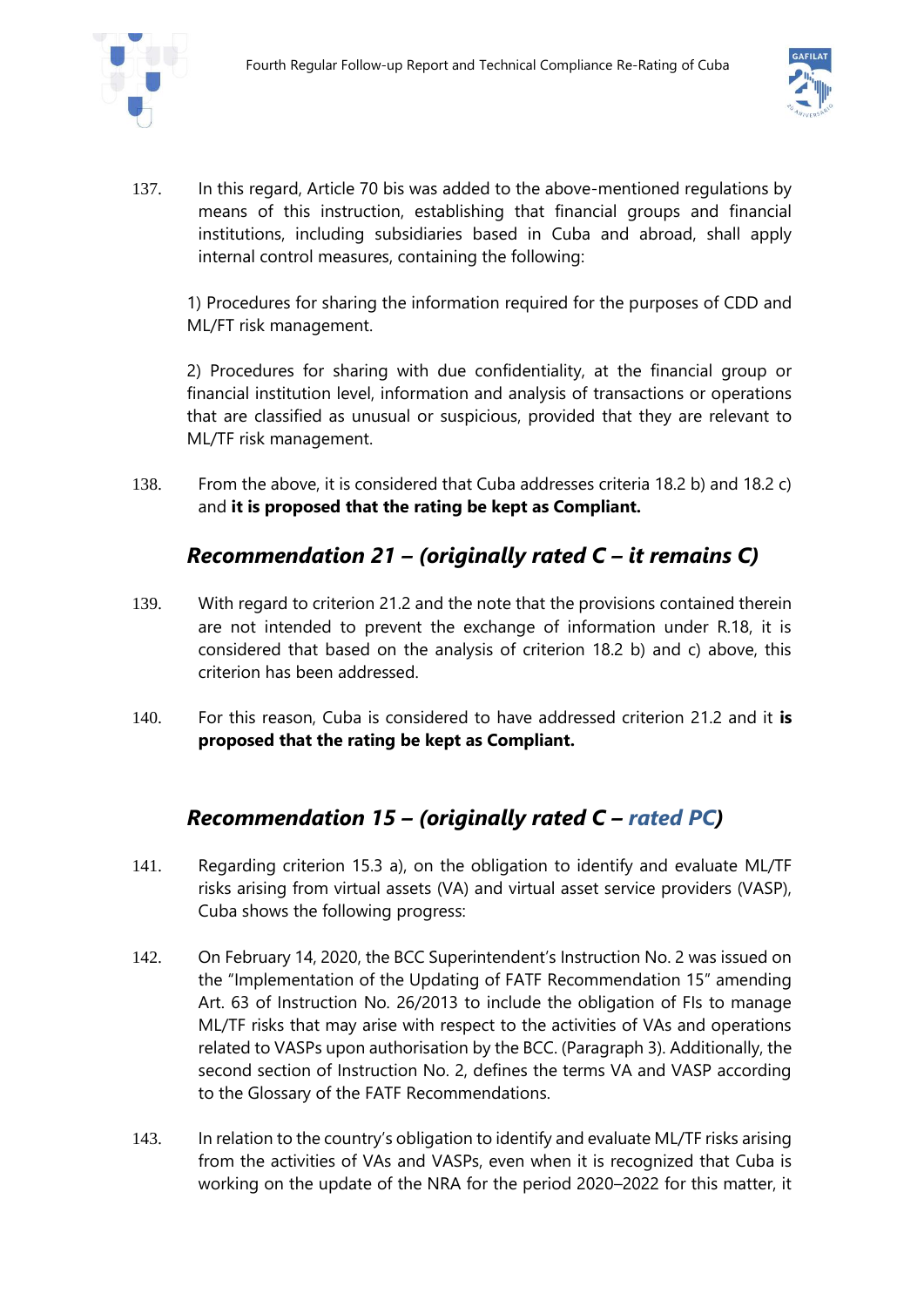



137. In this regard, Article 70 bis was added to the above-mentioned regulations by means of this instruction, establishing that financial groups and financial institutions, including subsidiaries based in Cuba and abroad, shall apply internal control measures, containing the following:

1) Procedures for sharing the information required for the purposes of CDD and ML/FT risk management.

2) Procedures for sharing with due confidentiality, at the financial group or financial institution level, information and analysis of transactions or operations that are classified as unusual or suspicious, provided that they are relevant to ML/TF risk management.

138. From the above, it is considered that Cuba addresses criteria 18.2 b) and 18.2 c) and **it is proposed that the rating be kept as Compliant.**

### *Recommendation 21 – (originally rated C – it remains C)*

- 139. With regard to criterion 21.2 and the note that the provisions contained therein are not intended to prevent the exchange of information under R.18, it is considered that based on the analysis of criterion 18.2 b) and c) above, this criterion has been addressed.
- 140. For this reason, Cuba is considered to have addressed criterion 21.2 and it **is proposed that the rating be kept as Compliant.**

### *Recommendation 15 – (originally rated C – rated PC)*

- 141. Regarding criterion 15.3 a), on the obligation to identify and evaluate ML/TF risks arising from virtual assets (VA) and virtual asset service providers (VASP), Cuba shows the following progress:
- 142. On February 14, 2020, the BCC Superintendent's Instruction No. 2 was issued on the "Implementation of the Updating of FATF Recommendation 15" amending Art. 63 of Instruction No. 26/2013 to include the obligation of FIs to manage ML/TF risks that may arise with respect to the activities of VAs and operations related to VASPs upon authorisation by the BCC. (Paragraph 3). Additionally, the second section of Instruction No. 2, defines the terms VA and VASP according to the Glossary of the FATF Recommendations.
- 143. In relation to the country's obligation to identify and evaluate ML/TF risks arising from the activities of VAs and VASPs, even when it is recognized that Cuba is working on the update of the NRA for the period 2020–2022 for this matter, it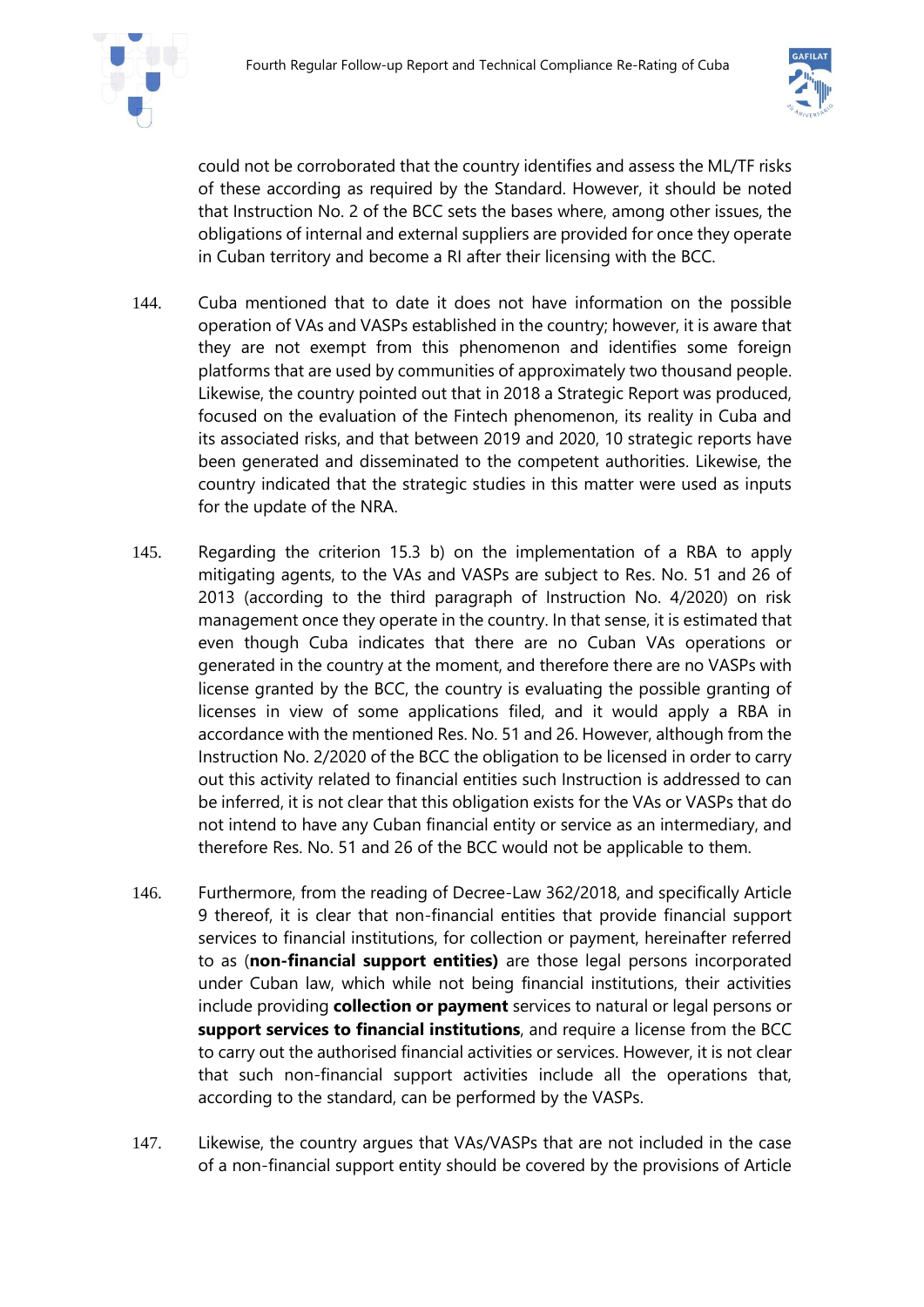



could not be corroborated that the country identifies and assess the ML/TF risks of these according as required by the Standard. However, it should be noted that Instruction No. 2 of the BCC sets the bases where, among other issues, the obligations of internal and external suppliers are provided for once they operate in Cuban territory and become a RI after their licensing with the BCC.

- 144. Cuba mentioned that to date it does not have information on the possible operation of VAs and VASPs established in the country; however, it is aware that they are not exempt from this phenomenon and identifies some foreign platforms that are used by communities of approximately two thousand people. Likewise, the country pointed out that in 2018 a Strategic Report was produced, focused on the evaluation of the Fintech phenomenon, its reality in Cuba and its associated risks, and that between 2019 and 2020, 10 strategic reports have been generated and disseminated to the competent authorities. Likewise, the country indicated that the strategic studies in this matter were used as inputs for the update of the NRA.
- 145. Regarding the criterion 15.3 b) on the implementation of a RBA to apply mitigating agents, to the VAs and VASPs are subject to Res. No. 51 and 26 of 2013 (according to the third paragraph of Instruction No. 4/2020) on risk management once they operate in the country. In that sense, it is estimated that even though Cuba indicates that there are no Cuban VAs operations or generated in the country at the moment, and therefore there are no VASPs with license granted by the BCC, the country is evaluating the possible granting of licenses in view of some applications filed, and it would apply a RBA in accordance with the mentioned Res. No. 51 and 26. However, although from the Instruction No. 2/2020 of the BCC the obligation to be licensed in order to carry out this activity related to financial entities such Instruction is addressed to can be inferred, it is not clear that this obligation exists for the VAs or VASPs that do not intend to have any Cuban financial entity or service as an intermediary, and therefore Res. No. 51 and 26 of the BCC would not be applicable to them.
- 146. Furthermore, from the reading of Decree-Law 362/2018, and specifically Article 9 thereof, it is clear that non-financial entities that provide financial support services to financial institutions, for collection or payment, hereinafter referred to as (**non-financial support entities)** are those legal persons incorporated under Cuban law, which while not being financial institutions, their activities include providing **collection or payment** services to natural or legal persons or **support services to financial institutions**, and require a license from the BCC to carry out the authorised financial activities or services. However, it is not clear that such non-financial support activities include all the operations that, according to the standard, can be performed by the VASPs.
- 147. Likewise, the country argues that VAs/VASPs that are not included in the case of a non-financial support entity should be covered by the provisions of Article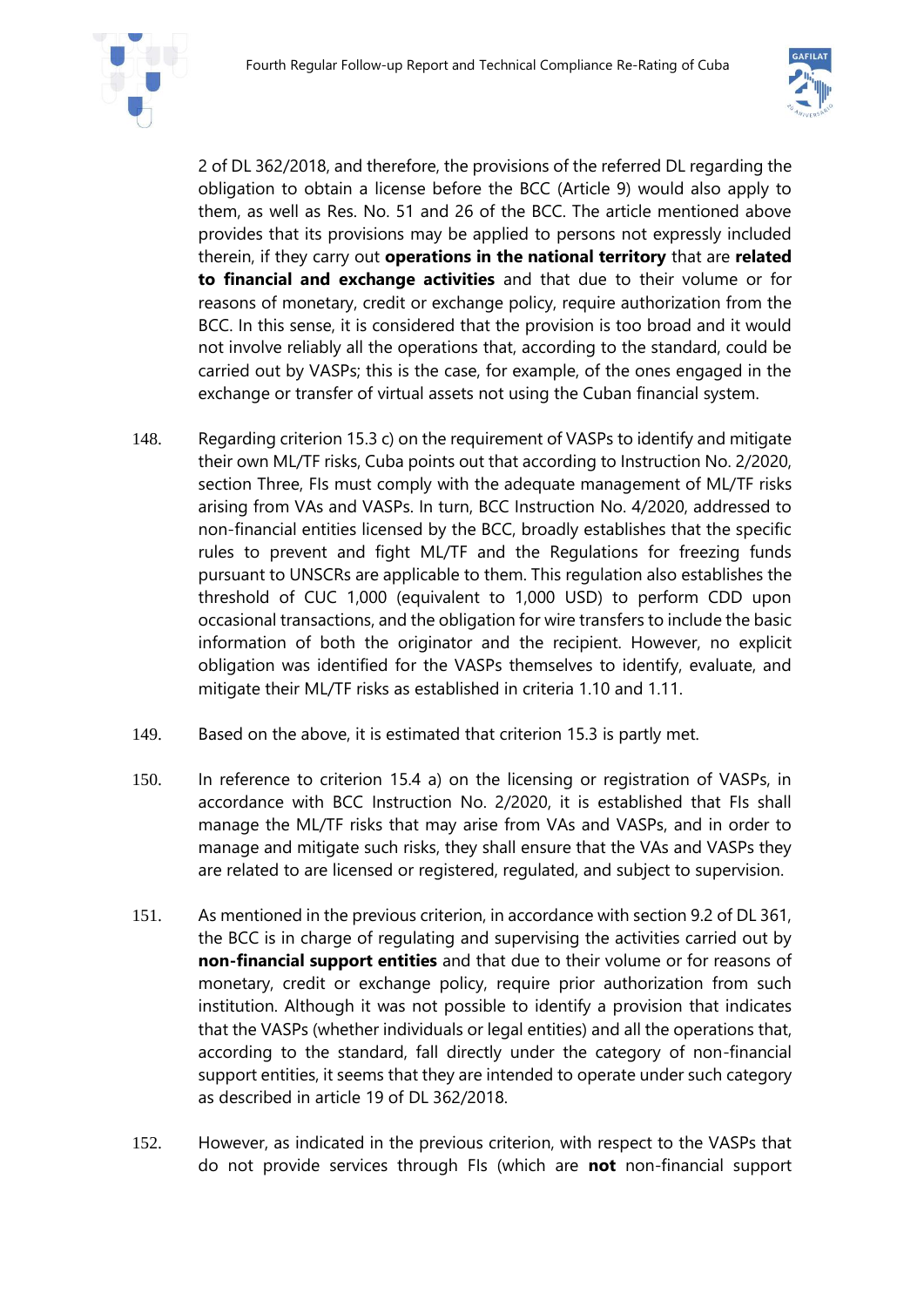



2 of DL 362/2018, and therefore, the provisions of the referred DL regarding the obligation to obtain a license before the BCC (Article 9) would also apply to them, as well as Res. No. 51 and 26 of the BCC. The article mentioned above provides that its provisions may be applied to persons not expressly included therein, if they carry out **operations in the national territory** that are **related to financial and exchange activities** and that due to their volume or for reasons of monetary, credit or exchange policy, require authorization from the BCC. In this sense, it is considered that the provision is too broad and it would not involve reliably all the operations that, according to the standard, could be carried out by VASPs; this is the case, for example, of the ones engaged in the exchange or transfer of virtual assets not using the Cuban financial system.

- 148. Regarding criterion 15.3 c) on the requirement of VASPs to identify and mitigate their own ML/TF risks, Cuba points out that according to Instruction No. 2/2020, section Three, FIs must comply with the adequate management of ML/TF risks arising from VAs and VASPs. In turn, BCC Instruction No. 4/2020, addressed to non-financial entities licensed by the BCC, broadly establishes that the specific rules to prevent and fight ML/TF and the Regulations for freezing funds pursuant to UNSCRs are applicable to them. This regulation also establishes the threshold of CUC 1,000 (equivalent to 1,000 USD) to perform CDD upon occasional transactions, and the obligation for wire transfers to include the basic information of both the originator and the recipient. However, no explicit obligation was identified for the VASPs themselves to identify, evaluate, and mitigate their ML/TF risks as established in criteria 1.10 and 1.11.
- 149. Based on the above, it is estimated that criterion 15.3 is partly met.
- 150. In reference to criterion 15.4 a) on the licensing or registration of VASPs, in accordance with BCC Instruction No. 2/2020, it is established that FIs shall manage the ML/TF risks that may arise from VAs and VASPs, and in order to manage and mitigate such risks, they shall ensure that the VAs and VASPs they are related to are licensed or registered, regulated, and subject to supervision.
- 151. As mentioned in the previous criterion, in accordance with section 9.2 of DL 361, the BCC is in charge of regulating and supervising the activities carried out by **non-financial support entities** and that due to their volume or for reasons of monetary, credit or exchange policy, require prior authorization from such institution. Although it was not possible to identify a provision that indicates that the VASPs (whether individuals or legal entities) and all the operations that, according to the standard, fall directly under the category of non-financial support entities, it seems that they are intended to operate under such category as described in article 19 of DL 362/2018.
- 152. However, as indicated in the previous criterion, with respect to the VASPs that do not provide services through FIs (which are **not** non-financial support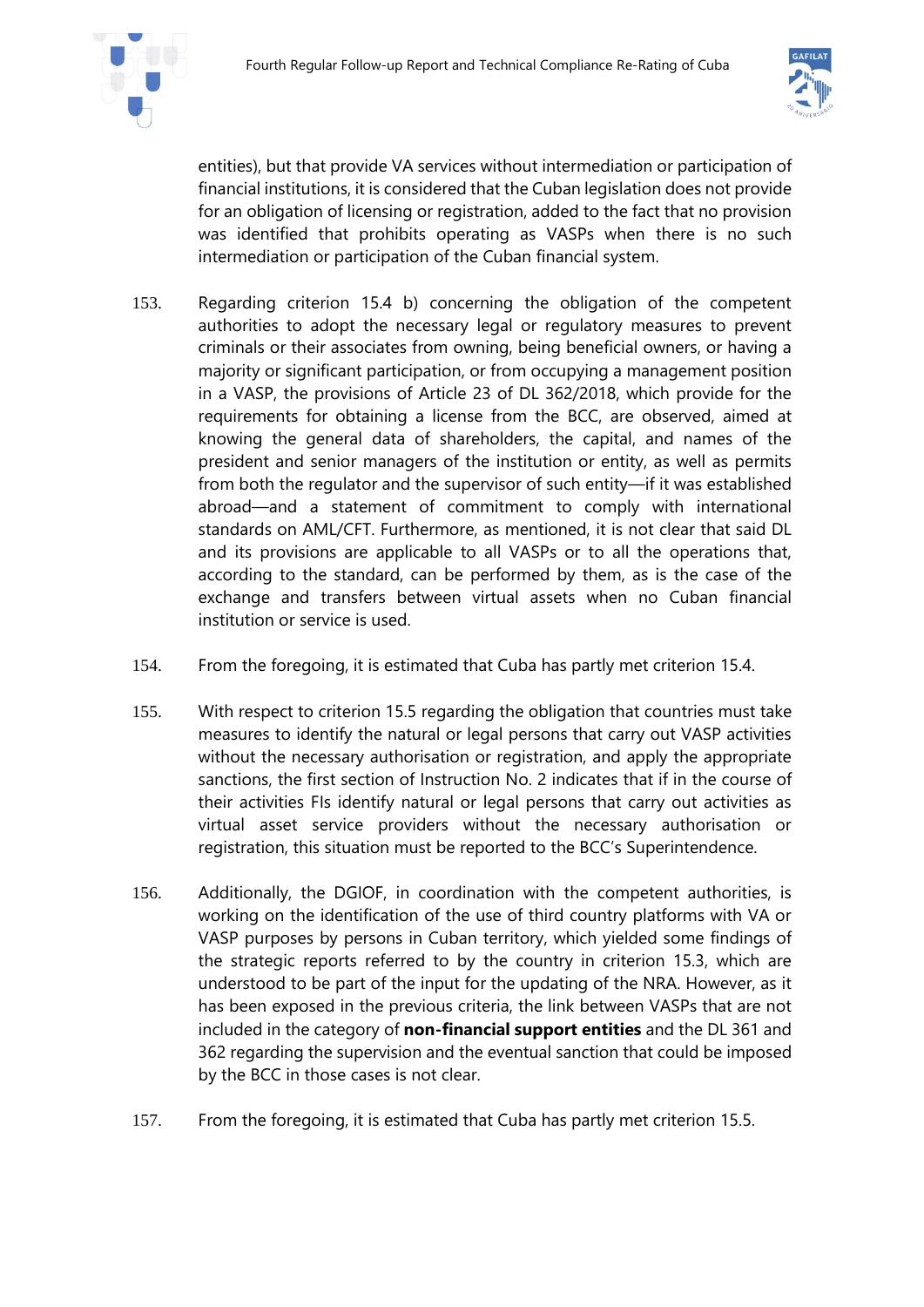



entities), but that provide VA services without intermediation or participation of financial institutions, it is considered that the Cuban legislation does not provide for an obligation of licensing or registration, added to the fact that no provision was identified that prohibits operating as VASPs when there is no such intermediation or participation of the Cuban financial system.

- 153. Regarding criterion 15.4 b) concerning the obligation of the competent authorities to adopt the necessary legal or regulatory measures to prevent criminals or their associates from owning, being beneficial owners, or having a majority or significant participation, or from occupying a management position in a VASP, the provisions of Article 23 of DL 362/2018, which provide for the requirements for obtaining a license from the BCC, are observed, aimed at knowing the general data of shareholders, the capital, and names of the president and senior managers of the institution or entity, as well as permits from both the regulator and the supervisor of such entity—if it was established abroad—and a statement of commitment to comply with international standards on AML/CFT. Furthermore, as mentioned, it is not clear that said DL and its provisions are applicable to all VASPs or to all the operations that, according to the standard, can be performed by them, as is the case of the exchange and transfers between virtual assets when no Cuban financial institution or service is used.
- 154. From the foregoing, it is estimated that Cuba has partly met criterion 15.4.
- 155. With respect to criterion 15.5 regarding the obligation that countries must take measures to identify the natural or legal persons that carry out VASP activities without the necessary authorisation or registration, and apply the appropriate sanctions, the first section of Instruction No. 2 indicates that if in the course of their activities FIs identify natural or legal persons that carry out activities as virtual asset service providers without the necessary authorisation or registration, this situation must be reported to the BCC's Superintendence.
- 156. Additionally, the DGIOF, in coordination with the competent authorities, is working on the identification of the use of third country platforms with VA or VASP purposes by persons in Cuban territory, which yielded some findings of the strategic reports referred to by the country in criterion 15.3, which are understood to be part of the input for the updating of the NRA. However, as it has been exposed in the previous criteria, the link between VASPs that are not included in the category of **non-financial support entities** and the DL 361 and 362 regarding the supervision and the eventual sanction that could be imposed by the BCC in those cases is not clear.
- 157. From the foregoing, it is estimated that Cuba has partly met criterion 15.5.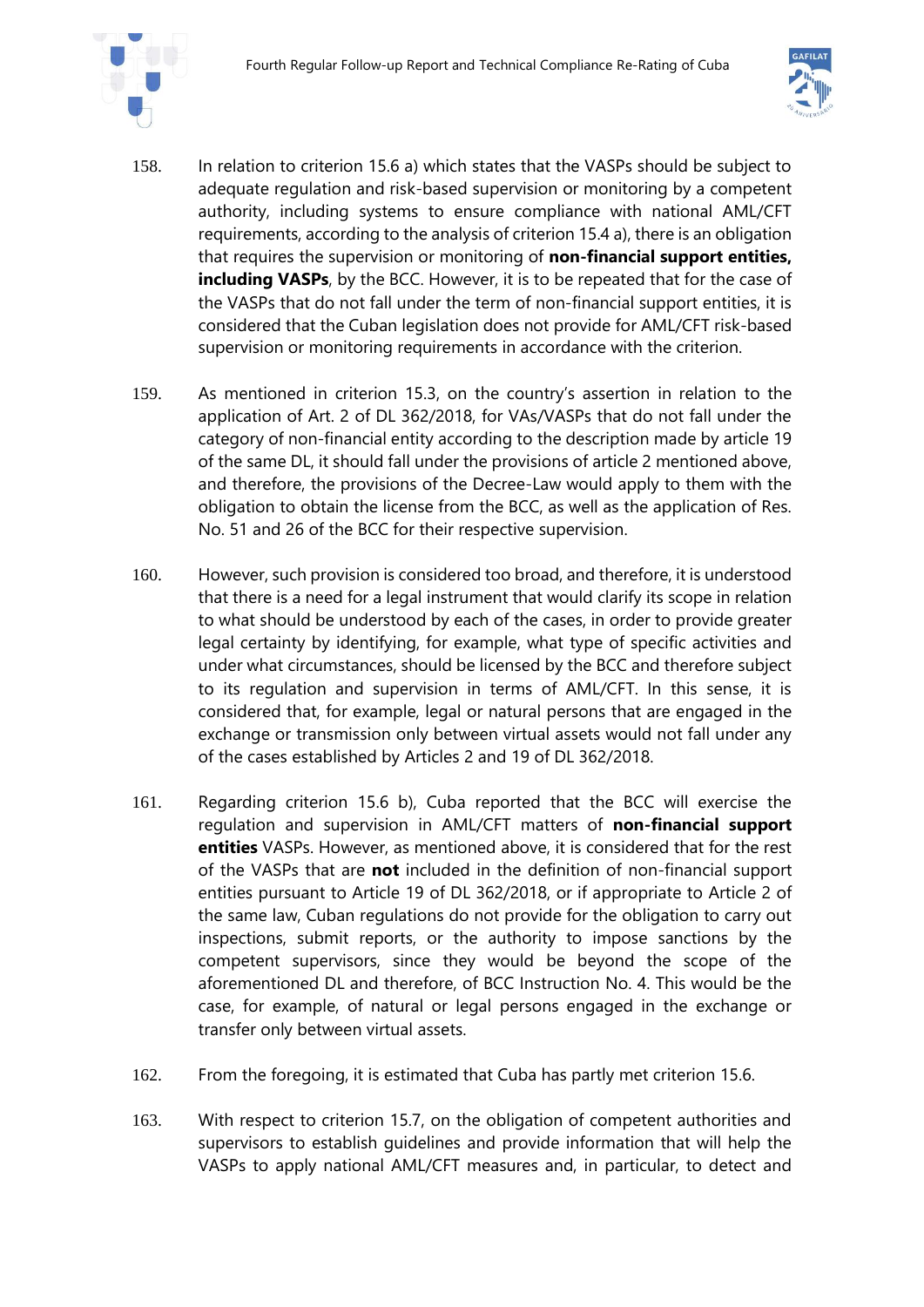



- 158. In relation to criterion 15.6 a) which states that the VASPs should be subject to adequate regulation and risk-based supervision or monitoring by a competent authority, including systems to ensure compliance with national AML/CFT requirements, according to the analysis of criterion 15.4 a), there is an obligation that requires the supervision or monitoring of **non-financial support entities, including VASPs**, by the BCC. However, it is to be repeated that for the case of the VASPs that do not fall under the term of non-financial support entities, it is considered that the Cuban legislation does not provide for AML/CFT risk-based supervision or monitoring requirements in accordance with the criterion.
- 159. As mentioned in criterion 15.3, on the country's assertion in relation to the application of Art. 2 of DL 362/2018, for VAs/VASPs that do not fall under the category of non-financial entity according to the description made by article 19 of the same DL, it should fall under the provisions of article 2 mentioned above, and therefore, the provisions of the Decree-Law would apply to them with the obligation to obtain the license from the BCC, as well as the application of Res. No. 51 and 26 of the BCC for their respective supervision.
- 160. However, such provision is considered too broad, and therefore, it is understood that there is a need for a legal instrument that would clarify its scope in relation to what should be understood by each of the cases, in order to provide greater legal certainty by identifying, for example, what type of specific activities and under what circumstances, should be licensed by the BCC and therefore subject to its regulation and supervision in terms of AML/CFT. In this sense, it is considered that, for example, legal or natural persons that are engaged in the exchange or transmission only between virtual assets would not fall under any of the cases established by Articles 2 and 19 of DL 362/2018.
- 161. Regarding criterion 15.6 b), Cuba reported that the BCC will exercise the regulation and supervision in AML/CFT matters of **non-financial support entities** VASPs. However, as mentioned above, it is considered that for the rest of the VASPs that are **not** included in the definition of non-financial support entities pursuant to Article 19 of DL 362/2018, or if appropriate to Article 2 of the same law, Cuban regulations do not provide for the obligation to carry out inspections, submit reports, or the authority to impose sanctions by the competent supervisors, since they would be beyond the scope of the aforementioned DL and therefore, of BCC Instruction No. 4. This would be the case, for example, of natural or legal persons engaged in the exchange or transfer only between virtual assets.
- 162. From the foregoing, it is estimated that Cuba has partly met criterion 15.6.
- 163. With respect to criterion 15.7, on the obligation of competent authorities and supervisors to establish guidelines and provide information that will help the VASPs to apply national AML/CFT measures and, in particular, to detect and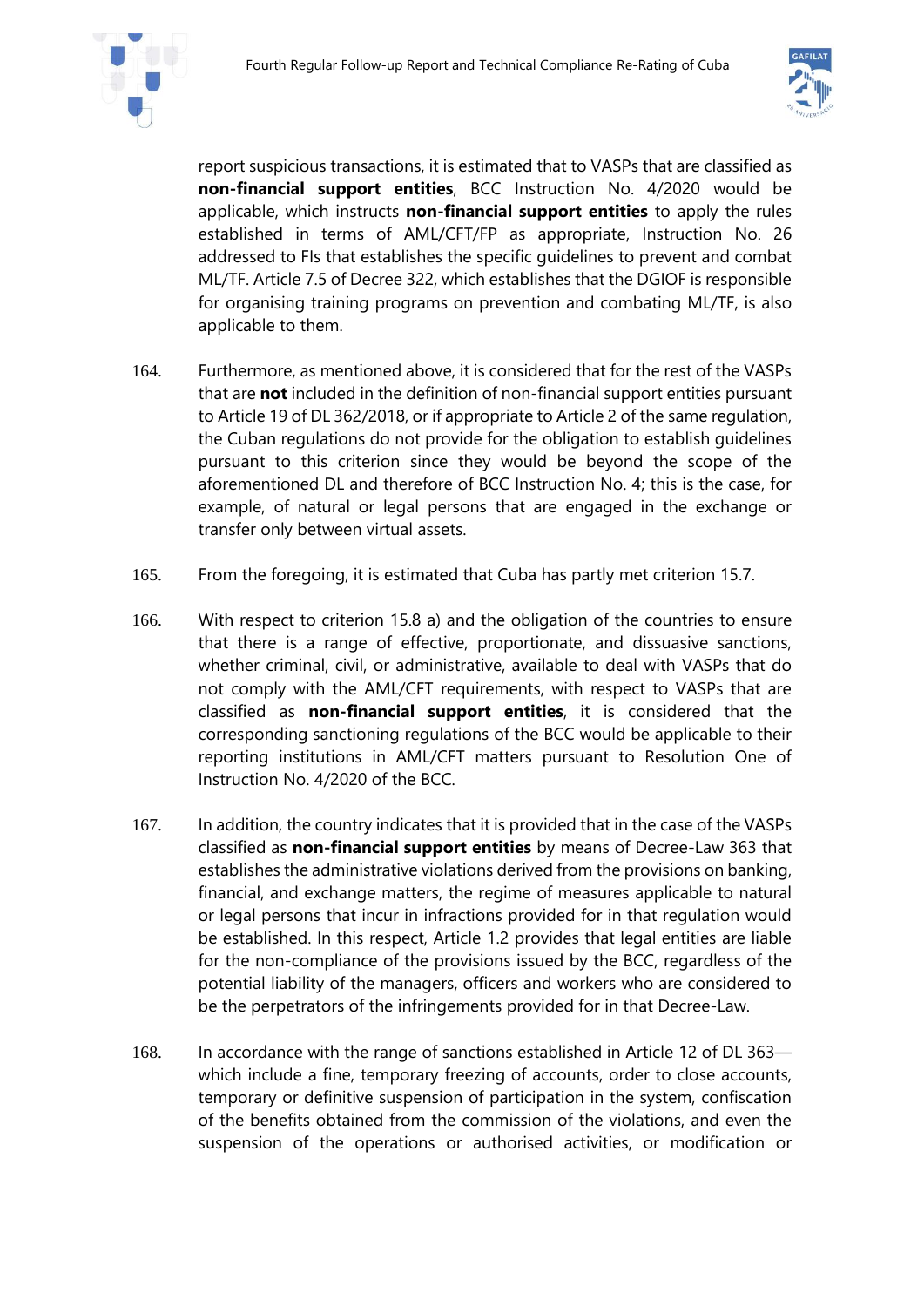



report suspicious transactions, it is estimated that to VASPs that are classified as **non-financial support entities**, BCC Instruction No. 4/2020 would be applicable, which instructs **non-financial support entities** to apply the rules established in terms of AML/CFT/FP as appropriate, Instruction No. 26 addressed to FIs that establishes the specific guidelines to prevent and combat ML/TF. Article 7.5 of Decree 322, which establishes that the DGIOF is responsible for organising training programs on prevention and combating ML/TF, is also applicable to them.

- 164. Furthermore, as mentioned above, it is considered that for the rest of the VASPs that are **not** included in the definition of non-financial support entities pursuant to Article 19 of DL 362/2018, or if appropriate to Article 2 of the same regulation, the Cuban regulations do not provide for the obligation to establish guidelines pursuant to this criterion since they would be beyond the scope of the aforementioned DL and therefore of BCC Instruction No. 4; this is the case, for example, of natural or legal persons that are engaged in the exchange or transfer only between virtual assets.
- 165. From the foregoing, it is estimated that Cuba has partly met criterion 15.7.
- 166. With respect to criterion 15.8 a) and the obligation of the countries to ensure that there is a range of effective, proportionate, and dissuasive sanctions, whether criminal, civil, or administrative, available to deal with VASPs that do not comply with the AML/CFT requirements, with respect to VASPs that are classified as **non-financial support entities**, it is considered that the corresponding sanctioning regulations of the BCC would be applicable to their reporting institutions in AML/CFT matters pursuant to Resolution One of Instruction No. 4/2020 of the BCC.
- 167. In addition, the country indicates that it is provided that in the case of the VASPs classified as **non-financial support entities** by means of Decree-Law 363 that establishes the administrative violations derived from the provisions on banking, financial, and exchange matters, the regime of measures applicable to natural or legal persons that incur in infractions provided for in that regulation would be established. In this respect, Article 1.2 provides that legal entities are liable for the non-compliance of the provisions issued by the BCC, regardless of the potential liability of the managers, officers and workers who are considered to be the perpetrators of the infringements provided for in that Decree-Law.
- 168. In accordance with the range of sanctions established in Article 12 of DL 363 which include a fine, temporary freezing of accounts, order to close accounts, temporary or definitive suspension of participation in the system, confiscation of the benefits obtained from the commission of the violations, and even the suspension of the operations or authorised activities, or modification or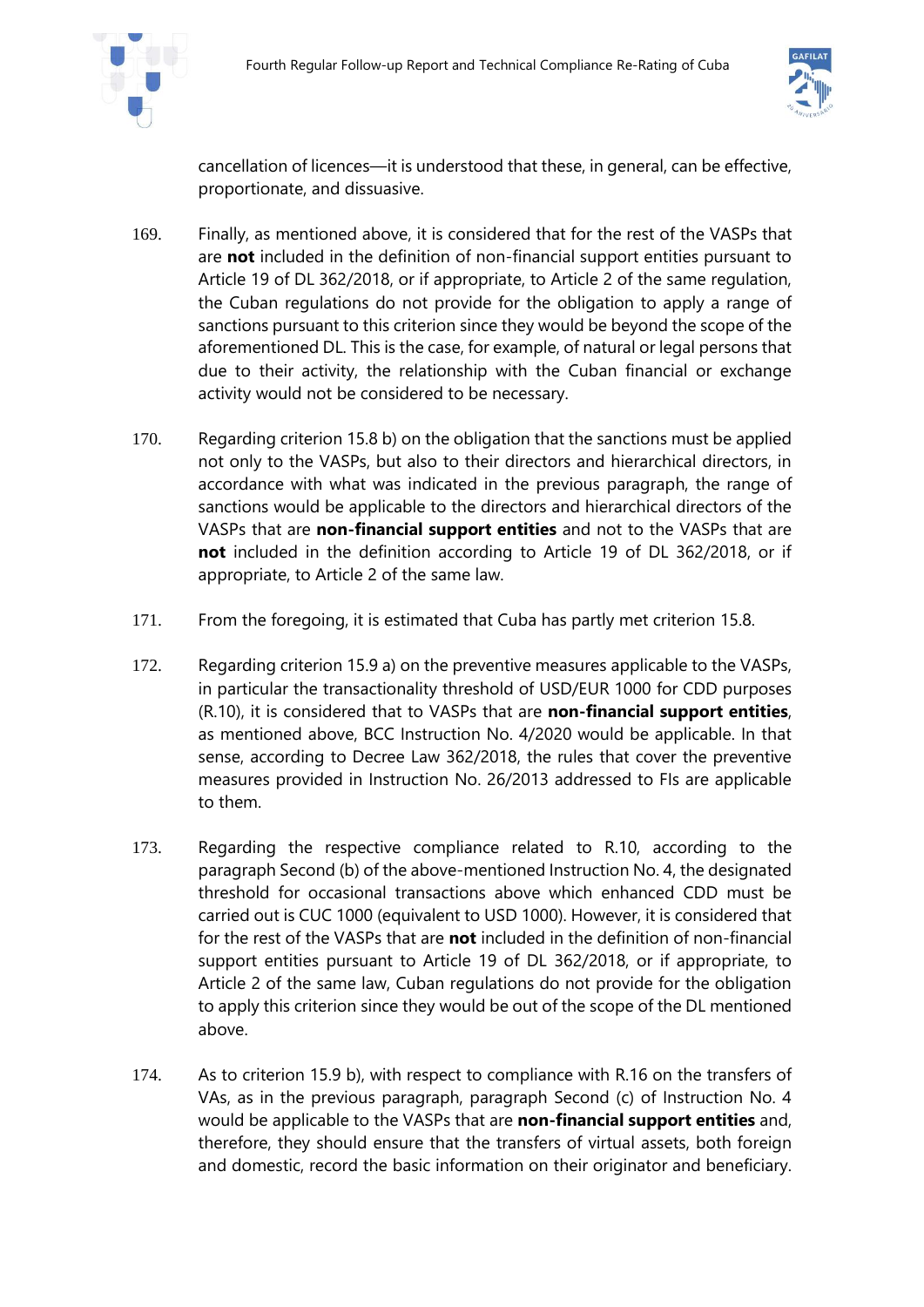



cancellation of licences—it is understood that these, in general, can be effective, proportionate, and dissuasive.

- 169. Finally, as mentioned above, it is considered that for the rest of the VASPs that are **not** included in the definition of non-financial support entities pursuant to Article 19 of DL 362/2018, or if appropriate, to Article 2 of the same regulation, the Cuban regulations do not provide for the obligation to apply a range of sanctions pursuant to this criterion since they would be beyond the scope of the aforementioned DL. This is the case, for example, of natural or legal persons that due to their activity, the relationship with the Cuban financial or exchange activity would not be considered to be necessary.
- 170. Regarding criterion 15.8 b) on the obligation that the sanctions must be applied not only to the VASPs, but also to their directors and hierarchical directors, in accordance with what was indicated in the previous paragraph, the range of sanctions would be applicable to the directors and hierarchical directors of the VASPs that are **non-financial support entities** and not to the VASPs that are **not** included in the definition according to Article 19 of DL 362/2018, or if appropriate, to Article 2 of the same law.
- 171. From the foregoing, it is estimated that Cuba has partly met criterion 15.8.
- 172. Regarding criterion 15.9 a) on the preventive measures applicable to the VASPs, in particular the transactionality threshold of USD/EUR 1000 for CDD purposes (R.10), it is considered that to VASPs that are **non-financial support entities**, as mentioned above, BCC Instruction No. 4/2020 would be applicable. In that sense, according to Decree Law 362/2018, the rules that cover the preventive measures provided in Instruction No. 26/2013 addressed to FIs are applicable to them.
- 173. Regarding the respective compliance related to R.10, according to the paragraph Second (b) of the above-mentioned Instruction No. 4, the designated threshold for occasional transactions above which enhanced CDD must be carried out is CUC 1000 (equivalent to USD 1000). However, it is considered that for the rest of the VASPs that are **not** included in the definition of non-financial support entities pursuant to Article 19 of DL 362/2018, or if appropriate, to Article 2 of the same law, Cuban regulations do not provide for the obligation to apply this criterion since they would be out of the scope of the DL mentioned above.
- 174. As to criterion 15.9 b), with respect to compliance with R.16 on the transfers of VAs, as in the previous paragraph, paragraph Second (c) of Instruction No. 4 would be applicable to the VASPs that are **non-financial support entities** and, therefore, they should ensure that the transfers of virtual assets, both foreign and domestic, record the basic information on their originator and beneficiary.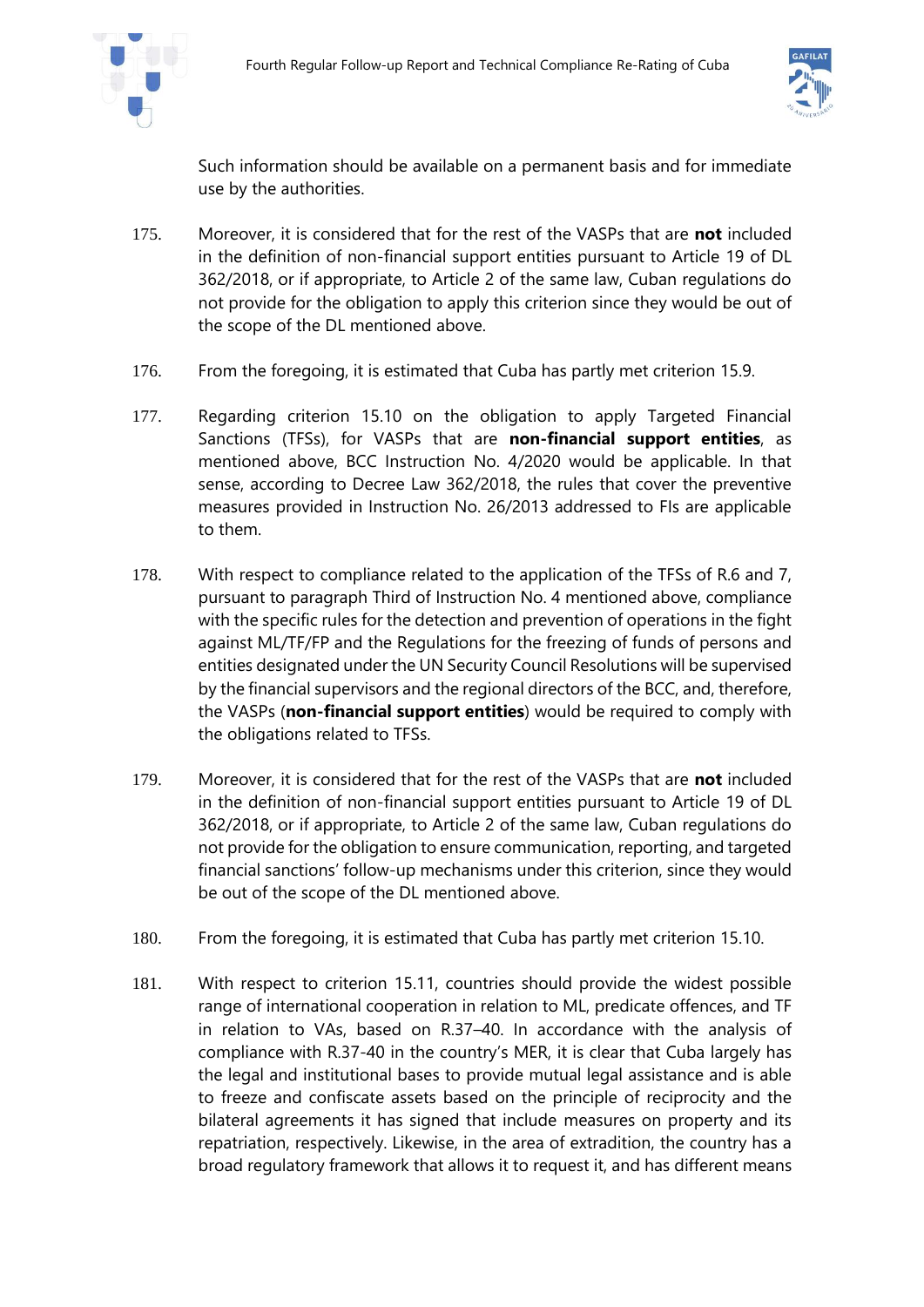



Such information should be available on a permanent basis and for immediate use by the authorities.

- 175. Moreover, it is considered that for the rest of the VASPs that are **not** included in the definition of non-financial support entities pursuant to Article 19 of DL 362/2018, or if appropriate, to Article 2 of the same law, Cuban regulations do not provide for the obligation to apply this criterion since they would be out of the scope of the DL mentioned above.
- 176. From the foregoing, it is estimated that Cuba has partly met criterion 15.9.
- 177. Regarding criterion 15.10 on the obligation to apply Targeted Financial Sanctions (TFSs), for VASPs that are **non-financial support entities**, as mentioned above, BCC Instruction No. 4/2020 would be applicable. In that sense, according to Decree Law 362/2018, the rules that cover the preventive measures provided in Instruction No. 26/2013 addressed to FIs are applicable to them.
- 178. With respect to compliance related to the application of the TFSs of R.6 and 7, pursuant to paragraph Third of Instruction No. 4 mentioned above, compliance with the specific rules for the detection and prevention of operations in the fight against ML/TF/FP and the Regulations for the freezing of funds of persons and entities designated under the UN Security Council Resolutions will be supervised by the financial supervisors and the regional directors of the BCC, and, therefore, the VASPs (**non-financial support entities**) would be required to comply with the obligations related to TFSs.
- 179. Moreover, it is considered that for the rest of the VASPs that are **not** included in the definition of non-financial support entities pursuant to Article 19 of DL 362/2018, or if appropriate, to Article 2 of the same law, Cuban regulations do not provide for the obligation to ensure communication, reporting, and targeted financial sanctions' follow-up mechanisms under this criterion, since they would be out of the scope of the DL mentioned above.
- 180. From the foregoing, it is estimated that Cuba has partly met criterion 15.10.
- 181. With respect to criterion 15.11, countries should provide the widest possible range of international cooperation in relation to ML, predicate offences, and TF in relation to VAs, based on R.37–40. In accordance with the analysis of compliance with R.37-40 in the country's MER, it is clear that Cuba largely has the legal and institutional bases to provide mutual legal assistance and is able to freeze and confiscate assets based on the principle of reciprocity and the bilateral agreements it has signed that include measures on property and its repatriation, respectively. Likewise, in the area of extradition, the country has a broad regulatory framework that allows it to request it, and has different means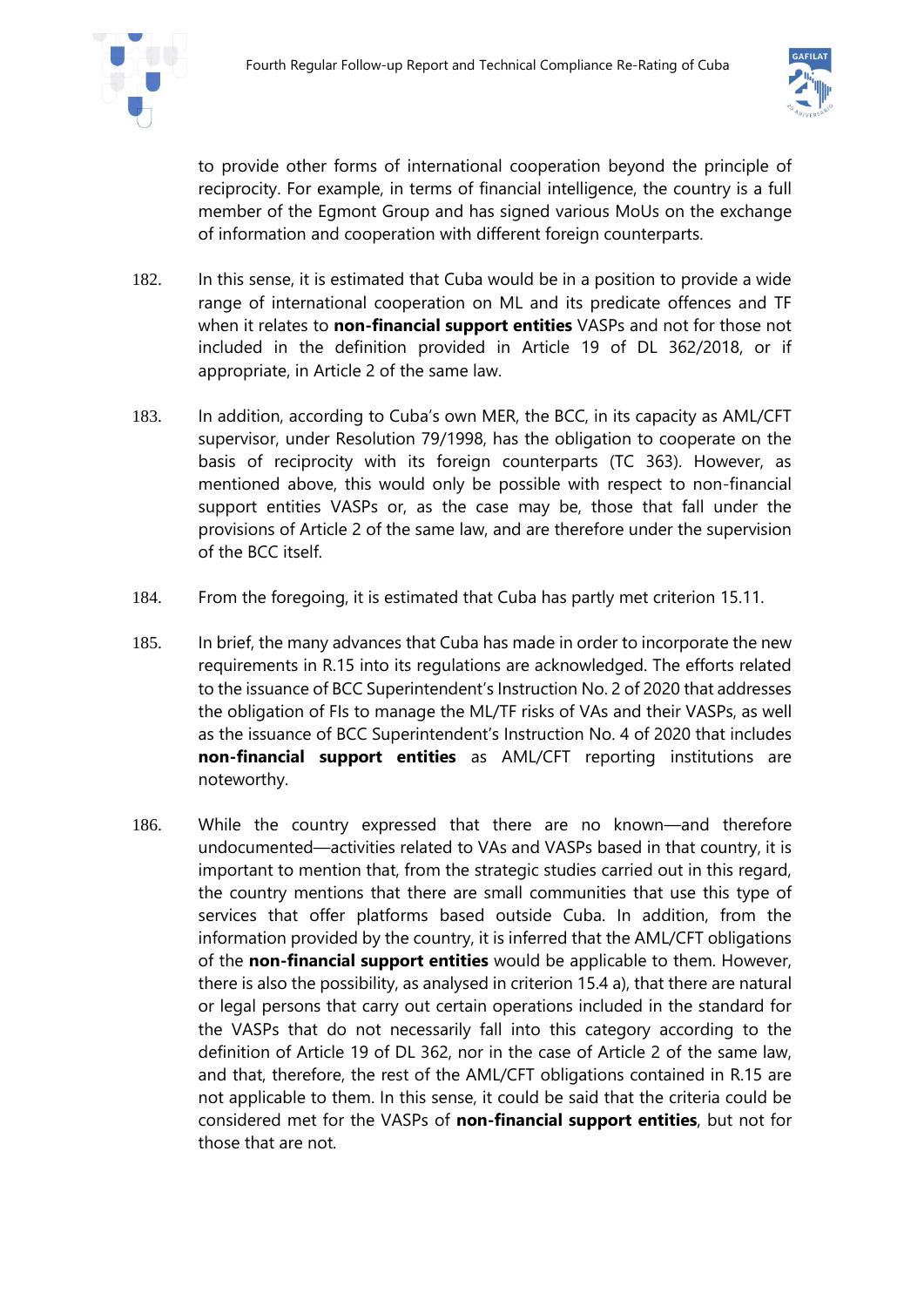



to provide other forms of international cooperation beyond the principle of reciprocity. For example, in terms of financial intelligence, the country is a full member of the Egmont Group and has signed various MoUs on the exchange of information and cooperation with different foreign counterparts.

- 182. In this sense, it is estimated that Cuba would be in a position to provide a wide range of international cooperation on ML and its predicate offences and TF when it relates to **non-financial support entities** VASPs and not for those not included in the definition provided in Article 19 of DL 362/2018, or if appropriate, in Article 2 of the same law.
- 183. In addition, according to Cuba's own MER, the BCC, in its capacity as AML/CFT supervisor, under Resolution 79/1998, has the obligation to cooperate on the basis of reciprocity with its foreign counterparts (TC 363). However, as mentioned above, this would only be possible with respect to non-financial support entities VASPs or, as the case may be, those that fall under the provisions of Article 2 of the same law, and are therefore under the supervision of the BCC itself.
- 184. From the foregoing, it is estimated that Cuba has partly met criterion 15.11.
- 185. In brief, the many advances that Cuba has made in order to incorporate the new requirements in R.15 into its regulations are acknowledged. The efforts related to the issuance of BCC Superintendent's Instruction No. 2 of 2020 that addresses the obligation of FIs to manage the ML/TF risks of VAs and their VASPs, as well as the issuance of BCC Superintendent's Instruction No. 4 of 2020 that includes **non-financial support entities** as AML/CFT reporting institutions are noteworthy.
- 186. While the country expressed that there are no known—and therefore undocumented—activities related to VAs and VASPs based in that country, it is important to mention that, from the strategic studies carried out in this regard, the country mentions that there are small communities that use this type of services that offer platforms based outside Cuba. In addition, from the information provided by the country, it is inferred that the AML/CFT obligations of the **non-financial support entities** would be applicable to them. However, there is also the possibility, as analysed in criterion 15.4 a), that there are natural or legal persons that carry out certain operations included in the standard for the VASPs that do not necessarily fall into this category according to the definition of Article 19 of DL 362, nor in the case of Article 2 of the same law, and that, therefore, the rest of the AML/CFT obligations contained in R.15 are not applicable to them. In this sense, it could be said that the criteria could be considered met for the VASPs of **non-financial support entities**, but not for those that are not.